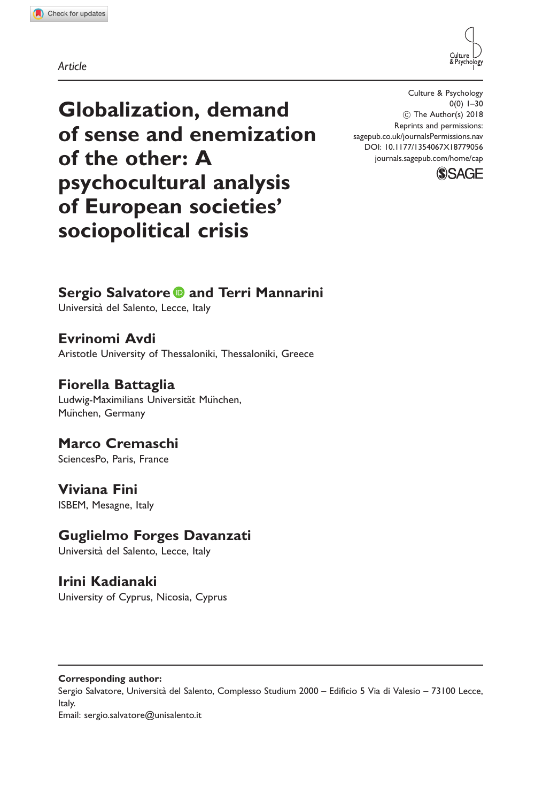Article

Globalization, demand of sense and enemization of the other: A psychocultural analysis of European societies' sociopolitical crisis

Culture & Psychology  $0(0)$  1–30  $\circ$  The Author(s) 2018 Reprints and permissions: [sagepub.co.uk/journalsPermissions.nav](http://uk.sagepub.com/en-gb/journals-permissions) [DOI: 10.1177/1354067X18779056](http://dx.doi.org/10.1177/1354067X18779056) <journals.sagepub.com/home/cap>



# Sergio Salvatore <sup>1</sup> and Terri Mannarini

Universita` del Salento, Lecce, Italy

Evrinomi Avdi Aristotle University of Thessaloniki, Thessaloniki, Greece

Fiorella Battaglia Ludwig-Maximilians Universität Munchen, Munchen, Germany

Marco Cremaschi SciencesPo, Paris, France

Viviana Fini ISBEM, Mesagne, Italy

Guglielmo Forges Davanzati

Universita` del Salento, Lecce, Italy

Irini Kadianaki University of Cyprus, Nicosia, Cyprus

Corresponding author:

Sergio Salvatore, Università del Salento, Complesso Studium 2000 – Edificio 5 Via di Valesio – 73100 Lecce, Italy.

Email: [sergio.salvatore@unisalento.it](mailto:sergio.salvatore@unisalento.it)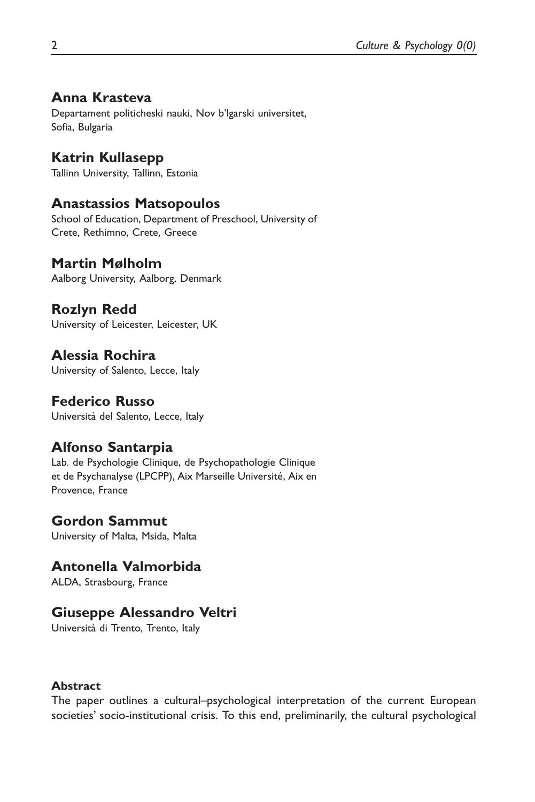## Anna Krasteva

Departament politicheski nauki, Nov b'lgarski universitet, Sofia, Bulgaria

Katrin Kullasepp Tallinn University, Tallinn, Estonia

### Anastassios Matsopoulos

School of Education, Department of Preschool, University of Crete, Rethimno, Crete, Greece

## Martin Mølholm

Aalborg University, Aalborg, Denmark

Rozlyn Redd University of Leicester, Leicester, UK

Alessia Rochira University of Salento, Lecce, Italy

Federico Russo Universita` del Salento, Lecce, Italy

### Alfonso Santarpia

Lab. de Psychologie Clinique, de Psychopathologie Clinique et de Psychanalyse (LPCPP), Aix Marseille Université, Aix en Provence, France

Gordon Sammut University of Malta, Msida, Malta

## Antonella Valmorbida

ALDA, Strasbourg, France

### Giuseppe Alessandro Veltri

Universita` di Trento, Trento, Italy

#### **Abstract**

The paper outlines a cultural–psychological interpretation of the current European societies' socio-institutional crisis. To this end, preliminarily, the cultural psychological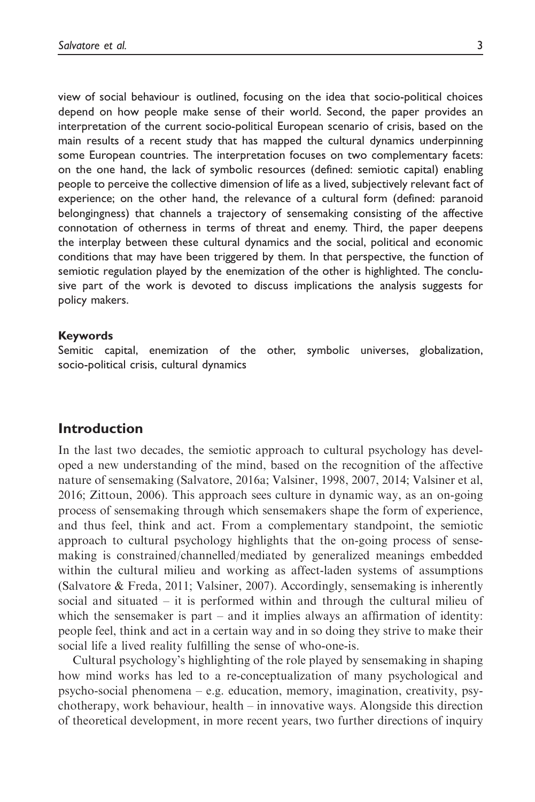view of social behaviour is outlined, focusing on the idea that socio-political choices depend on how people make sense of their world. Second, the paper provides an interpretation of the current socio-political European scenario of crisis, based on the main results of a recent study that has mapped the cultural dynamics underpinning some European countries. The interpretation focuses on two complementary facets: on the one hand, the lack of symbolic resources (defined: semiotic capital) enabling people to perceive the collective dimension of life as a lived, subjectively relevant fact of experience; on the other hand, the relevance of a cultural form (defined: paranoid belongingness) that channels a trajectory of sensemaking consisting of the affective connotation of otherness in terms of threat and enemy. Third, the paper deepens the interplay between these cultural dynamics and the social, political and economic conditions that may have been triggered by them. In that perspective, the function of semiotic regulation played by the enemization of the other is highlighted. The conclusive part of the work is devoted to discuss implications the analysis suggests for policy makers.

#### Keywords

Semitic capital, enemization of the other, symbolic universes, globalization, socio-political crisis, cultural dynamics

### Introduction

In the last two decades, the semiotic approach to cultural psychology has developed a new understanding of the mind, based on the recognition of the affective nature of sensemaking (Salvatore, 2016a; Valsiner, 1998, 2007, 2014; Valsiner et al, 2016; Zittoun, 2006). This approach sees culture in dynamic way, as an on-going process of sensemaking through which sensemakers shape the form of experience, and thus feel, think and act. From a complementary standpoint, the semiotic approach to cultural psychology highlights that the on-going process of sensemaking is constrained/channelled/mediated by generalized meanings embedded within the cultural milieu and working as affect-laden systems of assumptions (Salvatore & Freda, 2011; Valsiner, 2007). Accordingly, sensemaking is inherently social and situated – it is performed within and through the cultural milieu of which the sensemaker is part – and it implies always an affirmation of identity: people feel, think and act in a certain way and in so doing they strive to make their social life a lived reality fulfilling the sense of who-one-is.

Cultural psychology's highlighting of the role played by sensemaking in shaping how mind works has led to a re-conceptualization of many psychological and psycho-social phenomena – e.g. education, memory, imagination, creativity, psychotherapy, work behaviour, health – in innovative ways. Alongside this direction of theoretical development, in more recent years, two further directions of inquiry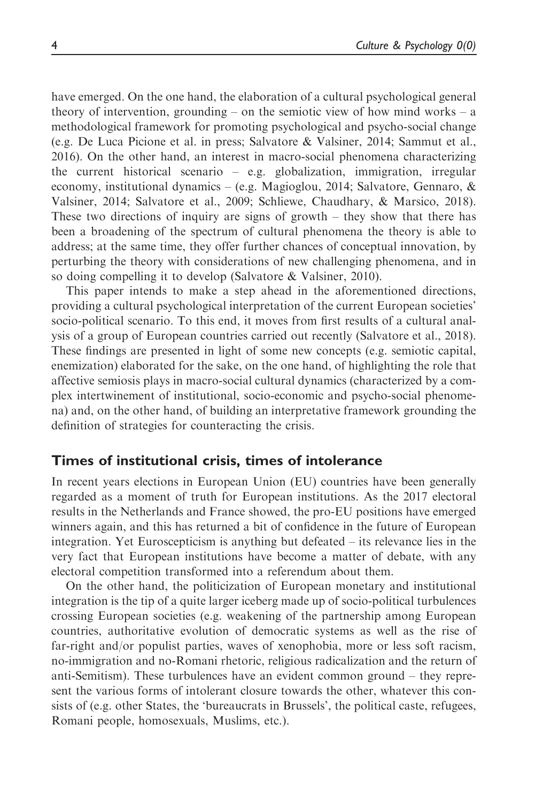have emerged. On the one hand, the elaboration of a cultural psychological general theory of intervention, grounding – on the semiotic view of how mind works – a methodological framework for promoting psychological and psycho-social change (e.g. De Luca Picione et al. in press; Salvatore & Valsiner, 2014; Sammut et al., 2016). On the other hand, an interest in macro-social phenomena characterizing the current historical scenario – e.g. globalization, immigration, irregular economy, institutional dynamics – (e.g. Magioglou, 2014; Salvatore, Gennaro, & Valsiner, 2014; Salvatore et al., 2009; Schliewe, Chaudhary, & Marsico, 2018). These two directions of inquiry are signs of growth – they show that there has been a broadening of the spectrum of cultural phenomena the theory is able to address; at the same time, they offer further chances of conceptual innovation, by perturbing the theory with considerations of new challenging phenomena, and in so doing compelling it to develop (Salvatore & Valsiner, 2010).

This paper intends to make a step ahead in the aforementioned directions, providing a cultural psychological interpretation of the current European societies' socio-political scenario. To this end, it moves from first results of a cultural analysis of a group of European countries carried out recently (Salvatore et al., 2018). These findings are presented in light of some new concepts (e.g. semiotic capital, enemization) elaborated for the sake, on the one hand, of highlighting the role that affective semiosis plays in macro-social cultural dynamics (characterized by a complex intertwinement of institutional, socio-economic and psycho-social phenomena) and, on the other hand, of building an interpretative framework grounding the definition of strategies for counteracting the crisis.

### Times of institutional crisis, times of intolerance

In recent years elections in European Union (EU) countries have been generally regarded as a moment of truth for European institutions. As the 2017 electoral results in the Netherlands and France showed, the pro-EU positions have emerged winners again, and this has returned a bit of confidence in the future of European integration. Yet Euroscepticism is anything but defeated – its relevance lies in the very fact that European institutions have become a matter of debate, with any electoral competition transformed into a referendum about them.

On the other hand, the politicization of European monetary and institutional integration is the tip of a quite larger iceberg made up of socio-political turbulences crossing European societies (e.g. weakening of the partnership among European countries, authoritative evolution of democratic systems as well as the rise of far-right and/or populist parties, waves of xenophobia, more or less soft racism, no-immigration and no-Romani rhetoric, religious radicalization and the return of anti-Semitism). These turbulences have an evident common ground – they represent the various forms of intolerant closure towards the other, whatever this consists of (e.g. other States, the 'bureaucrats in Brussels', the political caste, refugees, Romani people, homosexuals, Muslims, etc.).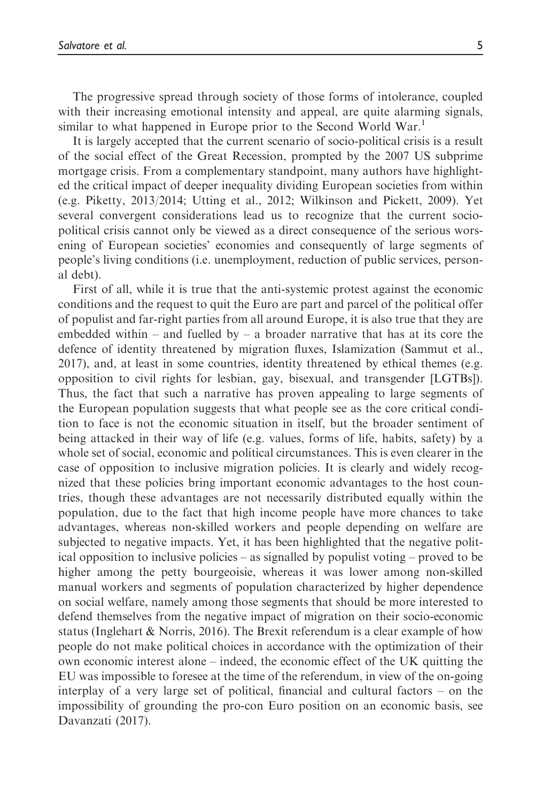The progressive spread through society of those forms of intolerance, coupled with their increasing emotional intensity and appeal, are quite alarming signals, similar to what happened in Europe prior to the Second World War.<sup>1</sup>

It is largely accepted that the current scenario of socio-political crisis is a result of the social effect of the Great Recession, prompted by the 2007 US subprime mortgage crisis. From a complementary standpoint, many authors have highlighted the critical impact of deeper inequality dividing European societies from within (e.g. Piketty, 2013/2014; Utting et al., 2012; Wilkinson and Pickett, 2009). Yet several convergent considerations lead us to recognize that the current sociopolitical crisis cannot only be viewed as a direct consequence of the serious worsening of European societies' economies and consequently of large segments of people's living conditions (i.e. unemployment, reduction of public services, personal debt).

First of all, while it is true that the anti-systemic protest against the economic conditions and the request to quit the Euro are part and parcel of the political offer of populist and far-right parties from all around Europe, it is also true that they are embedded within – and fuelled by – a broader narrative that has at its core the defence of identity threatened by migration fluxes, Islamization (Sammut et al., 2017), and, at least in some countries, identity threatened by ethical themes (e.g. opposition to civil rights for lesbian, gay, bisexual, and transgender [LGTBs]). Thus, the fact that such a narrative has proven appealing to large segments of the European population suggests that what people see as the core critical condition to face is not the economic situation in itself, but the broader sentiment of being attacked in their way of life (e.g. values, forms of life, habits, safety) by a whole set of social, economic and political circumstances. This is even clearer in the case of opposition to inclusive migration policies. It is clearly and widely recognized that these policies bring important economic advantages to the host countries, though these advantages are not necessarily distributed equally within the population, due to the fact that high income people have more chances to take advantages, whereas non-skilled workers and people depending on welfare are subjected to negative impacts. Yet, it has been highlighted that the negative political opposition to inclusive policies – as signalled by populist voting – proved to be higher among the petty bourgeoisie, whereas it was lower among non-skilled manual workers and segments of population characterized by higher dependence on social welfare, namely among those segments that should be more interested to defend themselves from the negative impact of migration on their socio-economic status (Inglehart & Norris, 2016). The Brexit referendum is a clear example of how people do not make political choices in accordance with the optimization of their own economic interest alone – indeed, the economic effect of the UK quitting the EU was impossible to foresee at the time of the referendum, in view of the on-going interplay of a very large set of political, financial and cultural factors – on the impossibility of grounding the pro-con Euro position on an economic basis, see Davanzati (2017).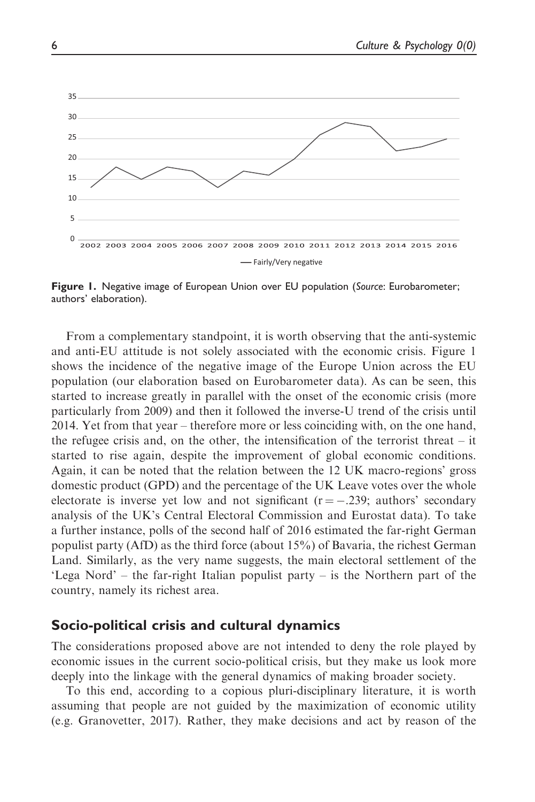

Figure 1. Negative image of European Union over EU population (Source: Eurobarometer; authors' elaboration).

From a complementary standpoint, it is worth observing that the anti-systemic and anti-EU attitude is not solely associated with the economic crisis. Figure 1 shows the incidence of the negative image of the Europe Union across the EU population (our elaboration based on Eurobarometer data). As can be seen, this started to increase greatly in parallel with the onset of the economic crisis (more particularly from 2009) and then it followed the inverse-U trend of the crisis until 2014. Yet from that year – therefore more or less coinciding with, on the one hand, the refugee crisis and, on the other, the intensification of the terrorist threat  $-$  it started to rise again, despite the improvement of global economic conditions. Again, it can be noted that the relation between the 12 UK macro-regions' gross domestic product (GPD) and the percentage of the UK Leave votes over the whole electorate is inverse yet low and not significant  $(r = -.239)$ ; authors' secondary analysis of the UK's Central Electoral Commission and Eurostat data). To take a further instance, polls of the second half of 2016 estimated the far-right German populist party (AfD) as the third force (about 15%) of Bavaria, the richest German Land. Similarly, as the very name suggests, the main electoral settlement of the 'Lega Nord' – the far-right Italian populist party – is the Northern part of the country, namely its richest area.

#### Socio-political crisis and cultural dynamics

The considerations proposed above are not intended to deny the role played by economic issues in the current socio-political crisis, but they make us look more deeply into the linkage with the general dynamics of making broader society.

To this end, according to a copious pluri-disciplinary literature, it is worth assuming that people are not guided by the maximization of economic utility (e.g. Granovetter, 2017). Rather, they make decisions and act by reason of the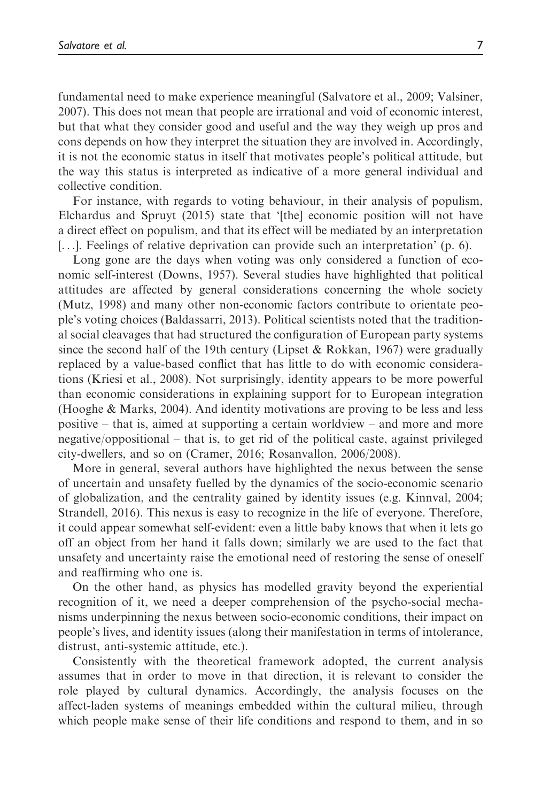fundamental need to make experience meaningful (Salvatore et al., 2009; Valsiner, 2007). This does not mean that people are irrational and void of economic interest, but that what they consider good and useful and the way they weigh up pros and cons depends on how they interpret the situation they are involved in. Accordingly, it is not the economic status in itself that motivates people's political attitude, but the way this status is interpreted as indicative of a more general individual and collective condition.

For instance, with regards to voting behaviour, in their analysis of populism, Elchardus and Spruyt (2015) state that '[the] economic position will not have a direct effect on populism, and that its effect will be mediated by an interpretation [...]. Feelings of relative deprivation can provide such an interpretation' (p. 6).

Long gone are the days when voting was only considered a function of economic self-interest (Downs, 1957). Several studies have highlighted that political attitudes are affected by general considerations concerning the whole society (Mutz, 1998) and many other non-economic factors contribute to orientate people's voting choices (Baldassarri, 2013). Political scientists noted that the traditional social cleavages that had structured the configuration of European party systems since the second half of the 19th century (Lipset  $\&$  Rokkan, 1967) were gradually replaced by a value-based conflict that has little to do with economic considerations (Kriesi et al., 2008). Not surprisingly, identity appears to be more powerful than economic considerations in explaining support for to European integration (Hooghe & Marks, 2004). And identity motivations are proving to be less and less positive – that is, aimed at supporting a certain worldview – and more and more negative/oppositional – that is, to get rid of the political caste, against privileged city-dwellers, and so on (Cramer, 2016; Rosanvallon, 2006/2008).

More in general, several authors have highlighted the nexus between the sense of uncertain and unsafety fuelled by the dynamics of the socio-economic scenario of globalization, and the centrality gained by identity issues (e.g. Kinnval, 2004; Strandell, 2016). This nexus is easy to recognize in the life of everyone. Therefore, it could appear somewhat self-evident: even a little baby knows that when it lets go off an object from her hand it falls down; similarly we are used to the fact that unsafety and uncertainty raise the emotional need of restoring the sense of oneself and reaffirming who one is.

On the other hand, as physics has modelled gravity beyond the experiential recognition of it, we need a deeper comprehension of the psycho-social mechanisms underpinning the nexus between socio-economic conditions, their impact on people's lives, and identity issues (along their manifestation in terms of intolerance, distrust, anti-systemic attitude, etc.).

Consistently with the theoretical framework adopted, the current analysis assumes that in order to move in that direction, it is relevant to consider the role played by cultural dynamics. Accordingly, the analysis focuses on the affect-laden systems of meanings embedded within the cultural milieu, through which people make sense of their life conditions and respond to them, and in so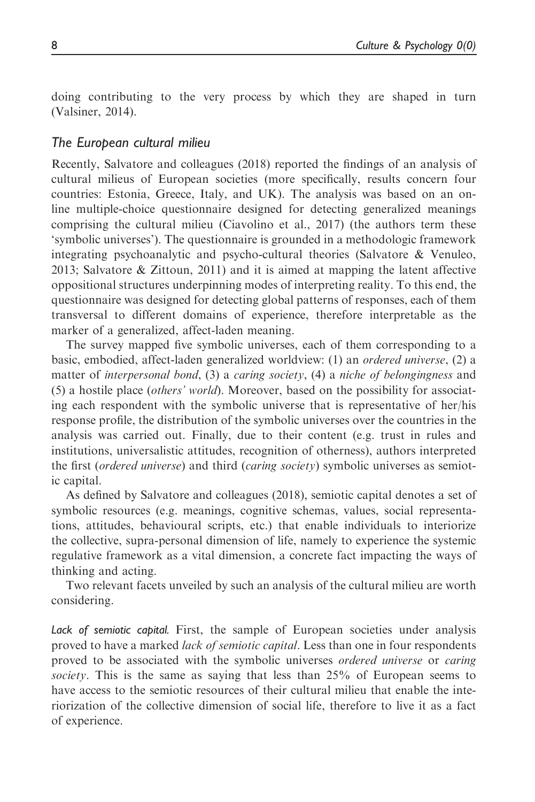doing contributing to the very process by which they are shaped in turn (Valsiner, 2014).

#### The European cultural milieu

Recently, Salvatore and colleagues (2018) reported the findings of an analysis of cultural milieus of European societies (more specifically, results concern four countries: Estonia, Greece, Italy, and UK). The analysis was based on an online multiple-choice questionnaire designed for detecting generalized meanings comprising the cultural milieu (Ciavolino et al., 2017) (the authors term these 'symbolic universes'). The questionnaire is grounded in a methodologic framework integrating psychoanalytic and psycho-cultural theories (Salvatore & Venuleo, 2013; Salvatore & Zittoun, 2011) and it is aimed at mapping the latent affective oppositional structures underpinning modes of interpreting reality. To this end, the questionnaire was designed for detecting global patterns of responses, each of them transversal to different domains of experience, therefore interpretable as the marker of a generalized, affect-laden meaning.

The survey mapped five symbolic universes, each of them corresponding to a basic, embodied, affect-laden generalized worldview: (1) an ordered universe, (2) a matter of interpersonal bond, (3) a caring society, (4) a niche of belongingness and (5) a hostile place *(others' world)*. Moreover, based on the possibility for associating each respondent with the symbolic universe that is representative of her/his response profile, the distribution of the symbolic universes over the countries in the analysis was carried out. Finally, due to their content (e.g. trust in rules and institutions, universalistic attitudes, recognition of otherness), authors interpreted the first (*ordered universe*) and third (*caring society*) symbolic universes as semiotic capital.

As defined by Salvatore and colleagues (2018), semiotic capital denotes a set of symbolic resources (e.g. meanings, cognitive schemas, values, social representations, attitudes, behavioural scripts, etc.) that enable individuals to interiorize the collective, supra-personal dimension of life, namely to experience the systemic regulative framework as a vital dimension, a concrete fact impacting the ways of thinking and acting.

Two relevant facets unveiled by such an analysis of the cultural milieu are worth considering.

Lack of semiotic capital. First, the sample of European societies under analysis proved to have a marked *lack of semiotic capital*. Less than one in four respondents proved to be associated with the symbolic universes *ordered universe* or *caring* society. This is the same as saying that less than  $25\%$  of European seems to have access to the semiotic resources of their cultural milieu that enable the interiorization of the collective dimension of social life, therefore to live it as a fact of experience.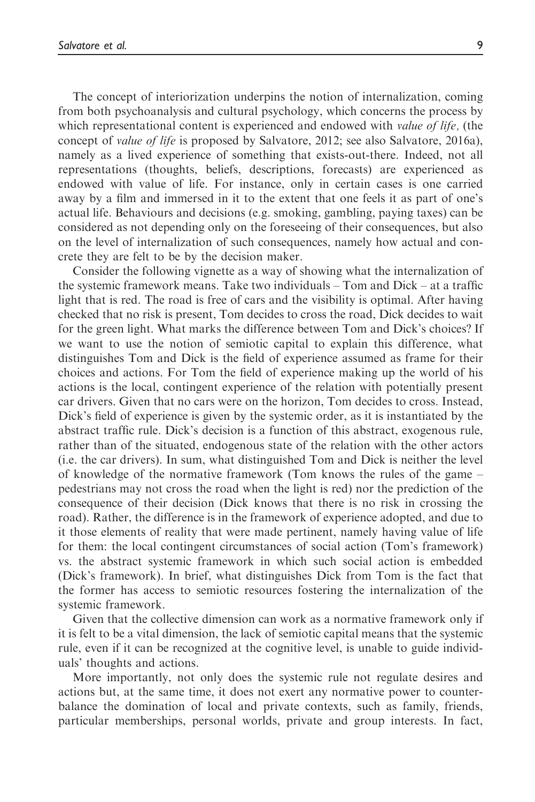The concept of interiorization underpins the notion of internalization, coming from both psychoanalysis and cultural psychology, which concerns the process by which representational content is experienced and endowed with *value of life*, (the concept of value of life is proposed by Salvatore, 2012; see also Salvatore, 2016a), namely as a lived experience of something that exists-out-there. Indeed, not all representations (thoughts, beliefs, descriptions, forecasts) are experienced as endowed with value of life. For instance, only in certain cases is one carried away by a film and immersed in it to the extent that one feels it as part of one's actual life. Behaviours and decisions (e.g. smoking, gambling, paying taxes) can be considered as not depending only on the foreseeing of their consequences, but also on the level of internalization of such consequences, namely how actual and concrete they are felt to be by the decision maker.

Consider the following vignette as a way of showing what the internalization of the systemic framework means. Take two individuals – Tom and Dick – at a traffic light that is red. The road is free of cars and the visibility is optimal. After having checked that no risk is present, Tom decides to cross the road, Dick decides to wait for the green light. What marks the difference between Tom and Dick's choices? If we want to use the notion of semiotic capital to explain this difference, what distinguishes Tom and Dick is the field of experience assumed as frame for their choices and actions. For Tom the field of experience making up the world of his actions is the local, contingent experience of the relation with potentially present car drivers. Given that no cars were on the horizon, Tom decides to cross. Instead, Dick's field of experience is given by the systemic order, as it is instantiated by the abstract traffic rule. Dick's decision is a function of this abstract, exogenous rule, rather than of the situated, endogenous state of the relation with the other actors (i.e. the car drivers). In sum, what distinguished Tom and Dick is neither the level of knowledge of the normative framework (Tom knows the rules of the game – pedestrians may not cross the road when the light is red) nor the prediction of the consequence of their decision (Dick knows that there is no risk in crossing the road). Rather, the difference is in the framework of experience adopted, and due to it those elements of reality that were made pertinent, namely having value of life for them: the local contingent circumstances of social action (Tom's framework) vs. the abstract systemic framework in which such social action is embedded (Dick's framework). In brief, what distinguishes Dick from Tom is the fact that the former has access to semiotic resources fostering the internalization of the systemic framework.

Given that the collective dimension can work as a normative framework only if it is felt to be a vital dimension, the lack of semiotic capital means that the systemic rule, even if it can be recognized at the cognitive level, is unable to guide individuals' thoughts and actions.

More importantly, not only does the systemic rule not regulate desires and actions but, at the same time, it does not exert any normative power to counterbalance the domination of local and private contexts, such as family, friends, particular memberships, personal worlds, private and group interests. In fact,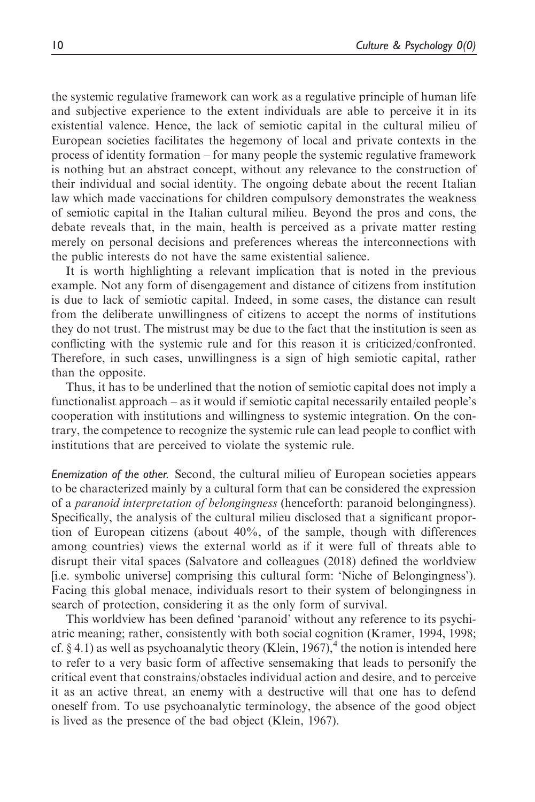the systemic regulative framework can work as a regulative principle of human life and subjective experience to the extent individuals are able to perceive it in its existential valence. Hence, the lack of semiotic capital in the cultural milieu of European societies facilitates the hegemony of local and private contexts in the process of identity formation – for many people the systemic regulative framework is nothing but an abstract concept, without any relevance to the construction of their individual and social identity. The ongoing debate about the recent Italian law which made vaccinations for children compulsory demonstrates the weakness of semiotic capital in the Italian cultural milieu. Beyond the pros and cons, the debate reveals that, in the main, health is perceived as a private matter resting merely on personal decisions and preferences whereas the interconnections with the public interests do not have the same existential salience.

It is worth highlighting a relevant implication that is noted in the previous example. Not any form of disengagement and distance of citizens from institution is due to lack of semiotic capital. Indeed, in some cases, the distance can result from the deliberate unwillingness of citizens to accept the norms of institutions they do not trust. The mistrust may be due to the fact that the institution is seen as conflicting with the systemic rule and for this reason it is criticized/confronted. Therefore, in such cases, unwillingness is a sign of high semiotic capital, rather than the opposite.

Thus, it has to be underlined that the notion of semiotic capital does not imply a functionalist approach – as it would if semiotic capital necessarily entailed people's cooperation with institutions and willingness to systemic integration. On the contrary, the competence to recognize the systemic rule can lead people to conflict with institutions that are perceived to violate the systemic rule.

Enemization of the other. Second, the cultural milieu of European societies appears to be characterized mainly by a cultural form that can be considered the expression of a paranoid interpretation of belongingness (henceforth: paranoid belongingness). Specifically, the analysis of the cultural milieu disclosed that a significant proportion of European citizens (about 40%, of the sample, though with differences among countries) views the external world as if it were full of threats able to disrupt their vital spaces (Salvatore and colleagues (2018) defined the worldview [i.e. symbolic universe] comprising this cultural form: 'Niche of Belongingness'). Facing this global menace, individuals resort to their system of belongingness in search of protection, considering it as the only form of survival.

This worldview has been defined 'paranoid' without any reference to its psychiatric meaning; rather, consistently with both social cognition (Kramer, 1994, 1998; cf. § 4.1) as well as psychoanalytic theory (Klein, 1967),<sup>4</sup> the notion is intended here to refer to a very basic form of affective sensemaking that leads to personify the critical event that constrains/obstacles individual action and desire, and to perceive it as an active threat, an enemy with a destructive will that one has to defend oneself from. To use psychoanalytic terminology, the absence of the good object is lived as the presence of the bad object (Klein, 1967).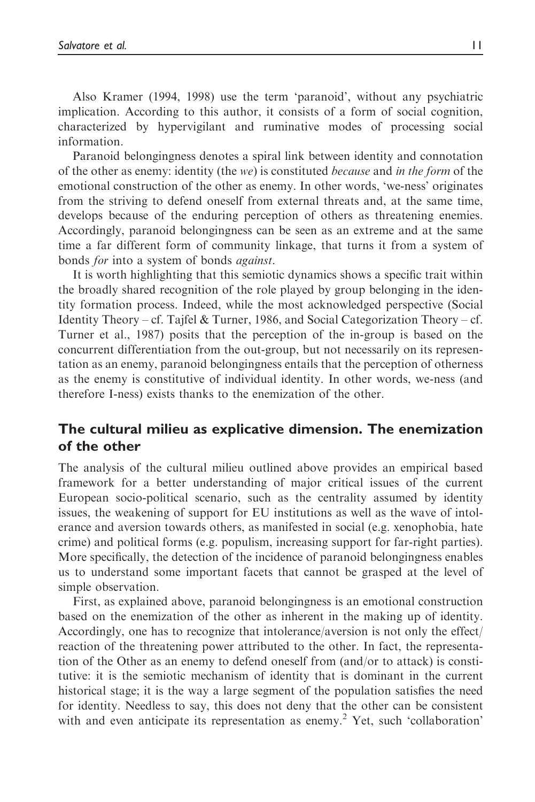Also Kramer (1994, 1998) use the term 'paranoid', without any psychiatric implication. According to this author, it consists of a form of social cognition, characterized by hypervigilant and ruminative modes of processing social information.

Paranoid belongingness denotes a spiral link between identity and connotation of the other as enemy: identity (the we) is constituted because and in the form of the emotional construction of the other as enemy. In other words, 'we-ness' originates from the striving to defend oneself from external threats and, at the same time, develops because of the enduring perception of others as threatening enemies. Accordingly, paranoid belongingness can be seen as an extreme and at the same time a far different form of community linkage, that turns it from a system of bonds for into a system of bonds against.

It is worth highlighting that this semiotic dynamics shows a specific trait within the broadly shared recognition of the role played by group belonging in the identity formation process. Indeed, while the most acknowledged perspective (Social Identity Theory – cf. Tajfel  $&$  Turner, 1986, and Social Categorization Theory – cf. Turner et al., 1987) posits that the perception of the in-group is based on the concurrent differentiation from the out-group, but not necessarily on its representation as an enemy, paranoid belongingness entails that the perception of otherness as the enemy is constitutive of individual identity. In other words, we-ness (and therefore I-ness) exists thanks to the enemization of the other.

### The cultural milieu as explicative dimension. The enemization of the other

The analysis of the cultural milieu outlined above provides an empirical based framework for a better understanding of major critical issues of the current European socio-political scenario, such as the centrality assumed by identity issues, the weakening of support for EU institutions as well as the wave of intolerance and aversion towards others, as manifested in social (e.g. xenophobia, hate crime) and political forms (e.g. populism, increasing support for far-right parties). More specifically, the detection of the incidence of paranoid belongingness enables us to understand some important facets that cannot be grasped at the level of simple observation.

First, as explained above, paranoid belongingness is an emotional construction based on the enemization of the other as inherent in the making up of identity. Accordingly, one has to recognize that intolerance/aversion is not only the effect/ reaction of the threatening power attributed to the other. In fact, the representation of the Other as an enemy to defend oneself from (and/or to attack) is constitutive: it is the semiotic mechanism of identity that is dominant in the current historical stage; it is the way a large segment of the population satisfies the need for identity. Needless to say, this does not deny that the other can be consistent with and even anticipate its representation as enemy.<sup>2</sup> Yet, such 'collaboration'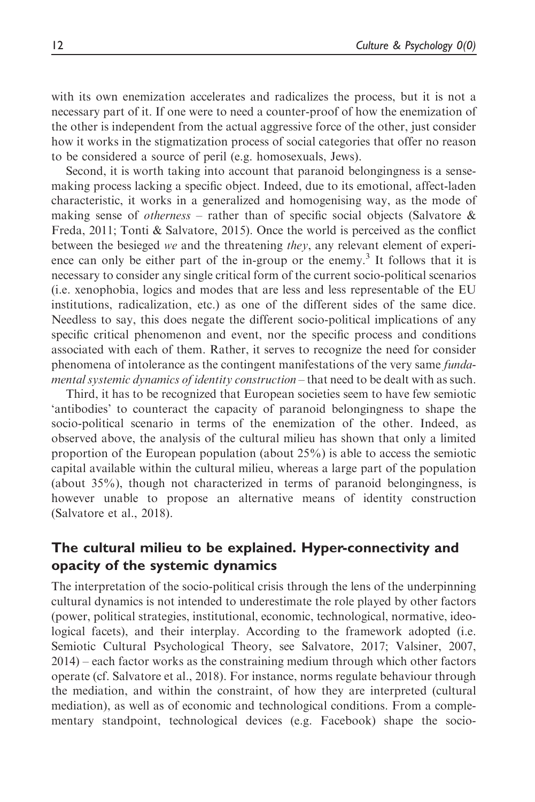with its own enemization accelerates and radicalizes the process, but it is not a necessary part of it. If one were to need a counter-proof of how the enemization of the other is independent from the actual aggressive force of the other, just consider how it works in the stigmatization process of social categories that offer no reason to be considered a source of peril (e.g. homosexuals, Jews).

Second, it is worth taking into account that paranoid belongingness is a sensemaking process lacking a specific object. Indeed, due to its emotional, affect-laden characteristic, it works in a generalized and homogenising way, as the mode of making sense of *otherness* – rather than of specific social objects (Salvatore  $\&$ Freda, 2011; Tonti & Salvatore, 2015). Once the world is perceived as the conflict between the besieged we and the threatening they, any relevant element of experience can only be either part of the in-group or the enemy.<sup>3</sup> It follows that it is necessary to consider any single critical form of the current socio-political scenarios (i.e. xenophobia, logics and modes that are less and less representable of the EU institutions, radicalization, etc.) as one of the different sides of the same dice. Needless to say, this does negate the different socio-political implications of any specific critical phenomenon and event, nor the specific process and conditions associated with each of them. Rather, it serves to recognize the need for consider phenomena of intolerance as the contingent manifestations of the very same fundamental systemic dynamics of identity construction – that need to be dealt with as such.

Third, it has to be recognized that European societies seem to have few semiotic 'antibodies' to counteract the capacity of paranoid belongingness to shape the socio-political scenario in terms of the enemization of the other. Indeed, as observed above, the analysis of the cultural milieu has shown that only a limited proportion of the European population (about 25%) is able to access the semiotic capital available within the cultural milieu, whereas a large part of the population (about 35%), though not characterized in terms of paranoid belongingness, is however unable to propose an alternative means of identity construction (Salvatore et al., 2018).

### The cultural milieu to be explained. Hyper-connectivity and opacity of the systemic dynamics

The interpretation of the socio-political crisis through the lens of the underpinning cultural dynamics is not intended to underestimate the role played by other factors (power, political strategies, institutional, economic, technological, normative, ideological facets), and their interplay. According to the framework adopted (i.e. Semiotic Cultural Psychological Theory, see Salvatore, 2017; Valsiner, 2007, 2014) – each factor works as the constraining medium through which other factors operate (cf. Salvatore et al., 2018). For instance, norms regulate behaviour through the mediation, and within the constraint, of how they are interpreted (cultural mediation), as well as of economic and technological conditions. From a complementary standpoint, technological devices (e.g. Facebook) shape the socio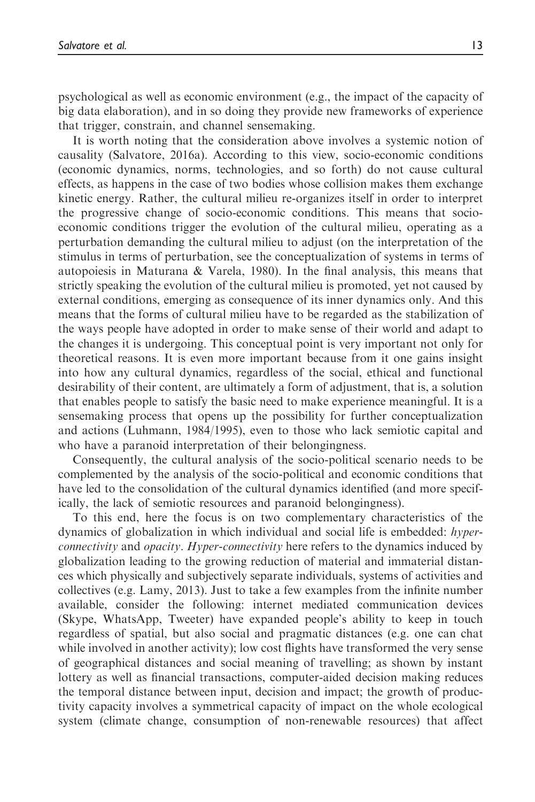psychological as well as economic environment (e.g., the impact of the capacity of big data elaboration), and in so doing they provide new frameworks of experience that trigger, constrain, and channel sensemaking.

It is worth noting that the consideration above involves a systemic notion of causality (Salvatore, 2016a). According to this view, socio-economic conditions (economic dynamics, norms, technologies, and so forth) do not cause cultural effects, as happens in the case of two bodies whose collision makes them exchange kinetic energy. Rather, the cultural milieu re-organizes itself in order to interpret the progressive change of socio-economic conditions. This means that socioeconomic conditions trigger the evolution of the cultural milieu, operating as a perturbation demanding the cultural milieu to adjust (on the interpretation of the stimulus in terms of perturbation, see the conceptualization of systems in terms of autopoiesis in Maturana & Varela, 1980). In the final analysis, this means that strictly speaking the evolution of the cultural milieu is promoted, yet not caused by external conditions, emerging as consequence of its inner dynamics only. And this means that the forms of cultural milieu have to be regarded as the stabilization of the ways people have adopted in order to make sense of their world and adapt to the changes it is undergoing. This conceptual point is very important not only for theoretical reasons. It is even more important because from it one gains insight into how any cultural dynamics, regardless of the social, ethical and functional desirability of their content, are ultimately a form of adjustment, that is, a solution that enables people to satisfy the basic need to make experience meaningful. It is a sensemaking process that opens up the possibility for further conceptualization and actions (Luhmann, 1984/1995), even to those who lack semiotic capital and who have a paranoid interpretation of their belongingness.

Consequently, the cultural analysis of the socio-political scenario needs to be complemented by the analysis of the socio-political and economic conditions that have led to the consolidation of the cultural dynamics identified (and more specifically, the lack of semiotic resources and paranoid belongingness).

To this end, here the focus is on two complementary characteristics of the dynamics of globalization in which individual and social life is embedded: hyperconnectivity and opacity. Hyper-connectivity here refers to the dynamics induced by globalization leading to the growing reduction of material and immaterial distances which physically and subjectively separate individuals, systems of activities and collectives (e.g. Lamy, 2013). Just to take a few examples from the infinite number available, consider the following: internet mediated communication devices (Skype, WhatsApp, Tweeter) have expanded people's ability to keep in touch regardless of spatial, but also social and pragmatic distances (e.g. one can chat while involved in another activity); low cost flights have transformed the very sense of geographical distances and social meaning of travelling; as shown by instant lottery as well as financial transactions, computer-aided decision making reduces the temporal distance between input, decision and impact; the growth of productivity capacity involves a symmetrical capacity of impact on the whole ecological system (climate change, consumption of non-renewable resources) that affect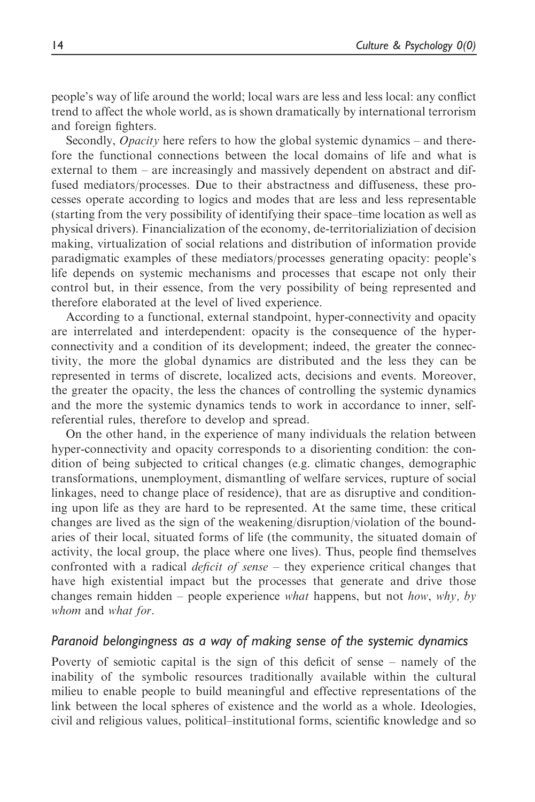people's way of life around the world; local wars are less and less local: any conflict trend to affect the whole world, as is shown dramatically by international terrorism and foreign fighters.

Secondly, *Opacity* here refers to how the global systemic dynamics – and therefore the functional connections between the local domains of life and what is external to them – are increasingly and massively dependent on abstract and diffused mediators/processes. Due to their abstractness and diffuseness, these processes operate according to logics and modes that are less and less representable (starting from the very possibility of identifying their space–time location as well as physical drivers). Financialization of the economy, de-territorializiation of decision making, virtualization of social relations and distribution of information provide paradigmatic examples of these mediators/processes generating opacity: people's life depends on systemic mechanisms and processes that escape not only their control but, in their essence, from the very possibility of being represented and therefore elaborated at the level of lived experience.

According to a functional, external standpoint, hyper-connectivity and opacity are interrelated and interdependent: opacity is the consequence of the hyperconnectivity and a condition of its development; indeed, the greater the connectivity, the more the global dynamics are distributed and the less they can be represented in terms of discrete, localized acts, decisions and events. Moreover, the greater the opacity, the less the chances of controlling the systemic dynamics and the more the systemic dynamics tends to work in accordance to inner, selfreferential rules, therefore to develop and spread.

On the other hand, in the experience of many individuals the relation between hyper-connectivity and opacity corresponds to a disorienting condition: the condition of being subjected to critical changes (e.g. climatic changes, demographic transformations, unemployment, dismantling of welfare services, rupture of social linkages, need to change place of residence), that are as disruptive and conditioning upon life as they are hard to be represented. At the same time, these critical changes are lived as the sign of the weakening/disruption/violation of the boundaries of their local, situated forms of life (the community, the situated domain of activity, the local group, the place where one lives). Thus, people find themselves confronted with a radical *deficit of sense* – they experience critical changes that have high existential impact but the processes that generate and drive those changes remain hidden – people experience *what* happens, but not *how*, *why*, *by* whom and what for.

#### Paranoid belongingness as a way of making sense of the systemic dynamics

Poverty of semiotic capital is the sign of this deficit of sense – namely of the inability of the symbolic resources traditionally available within the cultural milieu to enable people to build meaningful and effective representations of the link between the local spheres of existence and the world as a whole. Ideologies, civil and religious values, political–institutional forms, scientific knowledge and so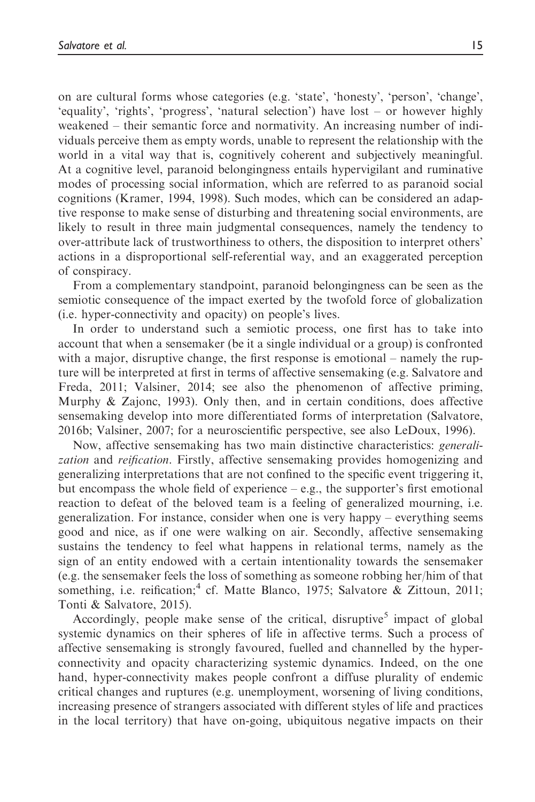on are cultural forms whose categories (e.g. 'state', 'honesty', 'person', 'change', 'equality', 'rights', 'progress', 'natural selection') have lost – or however highly weakened – their semantic force and normativity. An increasing number of individuals perceive them as empty words, unable to represent the relationship with the world in a vital way that is, cognitively coherent and subjectively meaningful. At a cognitive level, paranoid belongingness entails hypervigilant and ruminative modes of processing social information, which are referred to as paranoid social cognitions (Kramer, 1994, 1998). Such modes, which can be considered an adaptive response to make sense of disturbing and threatening social environments, are likely to result in three main judgmental consequences, namely the tendency to over-attribute lack of trustworthiness to others, the disposition to interpret others' actions in a disproportional self-referential way, and an exaggerated perception of conspiracy.

From a complementary standpoint, paranoid belongingness can be seen as the semiotic consequence of the impact exerted by the twofold force of globalization (i.e. hyper-connectivity and opacity) on people's lives.

In order to understand such a semiotic process, one first has to take into account that when a sensemaker (be it a single individual or a group) is confronted with a major, disruptive change, the first response is emotional – namely the rupture will be interpreted at first in terms of affective sensemaking (e.g. Salvatore and Freda, 2011; Valsiner, 2014; see also the phenomenon of affective priming, Murphy & Zajonc, 1993). Only then, and in certain conditions, does affective sensemaking develop into more differentiated forms of interpretation (Salvatore, 2016b; Valsiner, 2007; for a neuroscientific perspective, see also LeDoux, 1996).

Now, affective sensemaking has two main distinctive characteristics: generalization and reification. Firstly, affective sensemaking provides homogenizing and generalizing interpretations that are not confined to the specific event triggering it, but encompass the whole field of experience  $-e.g.,$  the supporter's first emotional reaction to defeat of the beloved team is a feeling of generalized mourning, i.e. generalization. For instance, consider when one is very happy – everything seems good and nice, as if one were walking on air. Secondly, affective sensemaking sustains the tendency to feel what happens in relational terms, namely as the sign of an entity endowed with a certain intentionality towards the sensemaker (e.g. the sensemaker feels the loss of something as someone robbing her/him of that something, i.e. reification;<sup>4</sup> cf. Matte Blanco, 1975; Salvatore & Zittoun, 2011; Tonti & Salvatore, 2015).

Accordingly, people make sense of the critical, disruptive<sup>5</sup> impact of global systemic dynamics on their spheres of life in affective terms. Such a process of affective sensemaking is strongly favoured, fuelled and channelled by the hyperconnectivity and opacity characterizing systemic dynamics. Indeed, on the one hand, hyper-connectivity makes people confront a diffuse plurality of endemic critical changes and ruptures (e.g. unemployment, worsening of living conditions, increasing presence of strangers associated with different styles of life and practices in the local territory) that have on-going, ubiquitous negative impacts on their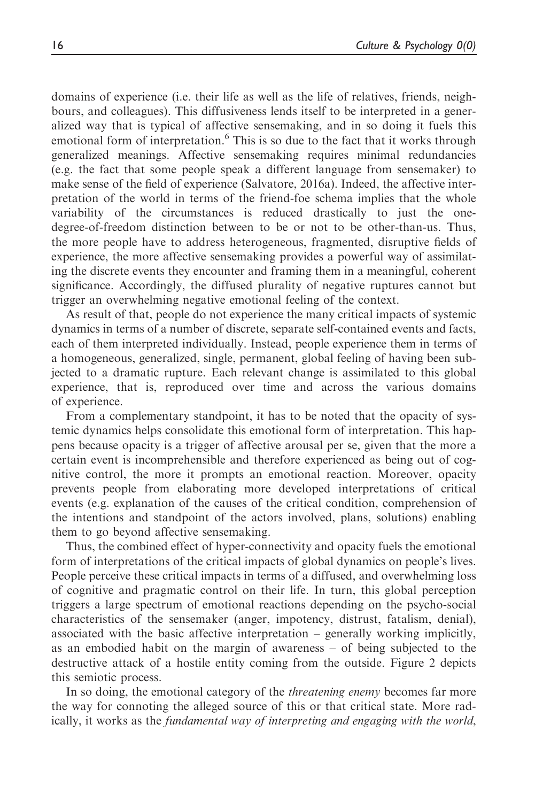domains of experience (i.e. their life as well as the life of relatives, friends, neighbours, and colleagues). This diffusiveness lends itself to be interpreted in a generalized way that is typical of affective sensemaking, and in so doing it fuels this emotional form of interpretation.<sup>6</sup> This is so due to the fact that it works through generalized meanings. Affective sensemaking requires minimal redundancies (e.g. the fact that some people speak a different language from sensemaker) to make sense of the field of experience (Salvatore, 2016a). Indeed, the affective interpretation of the world in terms of the friend-foe schema implies that the whole variability of the circumstances is reduced drastically to just the onedegree-of-freedom distinction between to be or not to be other-than-us. Thus, the more people have to address heterogeneous, fragmented, disruptive fields of experience, the more affective sensemaking provides a powerful way of assimilating the discrete events they encounter and framing them in a meaningful, coherent significance. Accordingly, the diffused plurality of negative ruptures cannot but trigger an overwhelming negative emotional feeling of the context.

As result of that, people do not experience the many critical impacts of systemic dynamics in terms of a number of discrete, separate self-contained events and facts, each of them interpreted individually. Instead, people experience them in terms of a homogeneous, generalized, single, permanent, global feeling of having been subjected to a dramatic rupture. Each relevant change is assimilated to this global experience, that is, reproduced over time and across the various domains of experience.

From a complementary standpoint, it has to be noted that the opacity of systemic dynamics helps consolidate this emotional form of interpretation. This happens because opacity is a trigger of affective arousal per se, given that the more a certain event is incomprehensible and therefore experienced as being out of cognitive control, the more it prompts an emotional reaction. Moreover, opacity prevents people from elaborating more developed interpretations of critical events (e.g. explanation of the causes of the critical condition, comprehension of the intentions and standpoint of the actors involved, plans, solutions) enabling them to go beyond affective sensemaking.

Thus, the combined effect of hyper-connectivity and opacity fuels the emotional form of interpretations of the critical impacts of global dynamics on people's lives. People perceive these critical impacts in terms of a diffused, and overwhelming loss of cognitive and pragmatic control on their life. In turn, this global perception triggers a large spectrum of emotional reactions depending on the psycho-social characteristics of the sensemaker (anger, impotency, distrust, fatalism, denial), associated with the basic affective interpretation – generally working implicitly, as an embodied habit on the margin of awareness – of being subjected to the destructive attack of a hostile entity coming from the outside. Figure 2 depicts this semiotic process.

In so doing, the emotional category of the *threatening enemy* becomes far more the way for connoting the alleged source of this or that critical state. More radically, it works as the fundamental way of interpreting and engaging with the world,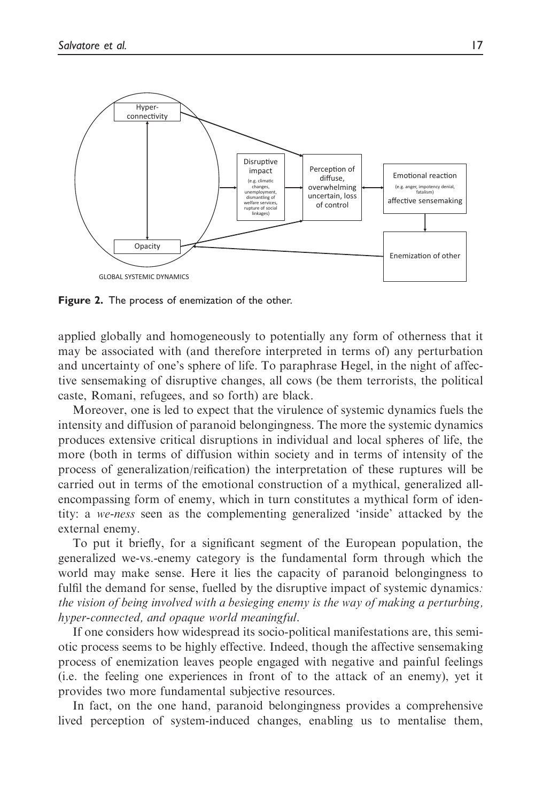

Figure 2. The process of enemization of the other.

applied globally and homogeneously to potentially any form of otherness that it may be associated with (and therefore interpreted in terms of) any perturbation and uncertainty of one's sphere of life. To paraphrase Hegel, in the night of affective sensemaking of disruptive changes, all cows (be them terrorists, the political caste, Romani, refugees, and so forth) are black.

Moreover, one is led to expect that the virulence of systemic dynamics fuels the intensity and diffusion of paranoid belongingness. The more the systemic dynamics produces extensive critical disruptions in individual and local spheres of life, the more (both in terms of diffusion within society and in terms of intensity of the process of generalization/reification) the interpretation of these ruptures will be carried out in terms of the emotional construction of a mythical, generalized allencompassing form of enemy, which in turn constitutes a mythical form of identity: a we-ness seen as the complementing generalized 'inside' attacked by the external enemy.

To put it briefly, for a significant segment of the European population, the generalized we-vs.-enemy category is the fundamental form through which the world may make sense. Here it lies the capacity of paranoid belongingness to fulfil the demand for sense, fuelled by the disruptive impact of systemic dynamics: the vision of being involved with a besieging enemy is the way of making a perturbing, hyper-connected, and opaque world meaningful.

If one considers how widespread its socio-political manifestations are, this semiotic process seems to be highly effective. Indeed, though the affective sensemaking process of enemization leaves people engaged with negative and painful feelings (i.e. the feeling one experiences in front of to the attack of an enemy), yet it provides two more fundamental subjective resources.

In fact, on the one hand, paranoid belongingness provides a comprehensive lived perception of system-induced changes, enabling us to mentalise them,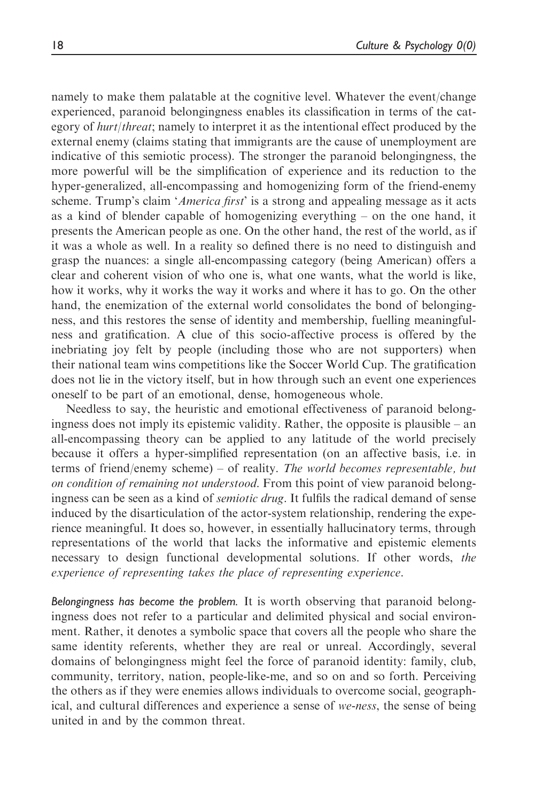namely to make them palatable at the cognitive level. Whatever the event/change experienced, paranoid belongingness enables its classification in terms of the category of hurt/threat; namely to interpret it as the intentional effect produced by the external enemy (claims stating that immigrants are the cause of unemployment are indicative of this semiotic process). The stronger the paranoid belongingness, the more powerful will be the simplification of experience and its reduction to the hyper-generalized, all-encompassing and homogenizing form of the friend-enemy scheme. Trump's claim '*America first*' is a strong and appealing message as it acts as a kind of blender capable of homogenizing everything – on the one hand, it presents the American people as one. On the other hand, the rest of the world, as if it was a whole as well. In a reality so defined there is no need to distinguish and grasp the nuances: a single all-encompassing category (being American) offers a clear and coherent vision of who one is, what one wants, what the world is like, how it works, why it works the way it works and where it has to go. On the other hand, the enemization of the external world consolidates the bond of belongingness, and this restores the sense of identity and membership, fuelling meaningfulness and gratification. A clue of this socio-affective process is offered by the inebriating joy felt by people (including those who are not supporters) when their national team wins competitions like the Soccer World Cup. The gratification does not lie in the victory itself, but in how through such an event one experiences oneself to be part of an emotional, dense, homogeneous whole.

Needless to say, the heuristic and emotional effectiveness of paranoid belongingness does not imply its epistemic validity. Rather, the opposite is plausible – an all-encompassing theory can be applied to any latitude of the world precisely because it offers a hyper-simplified representation (on an affective basis, i.e. in terms of friend/enemy scheme) – of reality. The world becomes representable, but on condition of remaining not understood. From this point of view paranoid belongingness can be seen as a kind of *semiotic drug*. It fulfils the radical demand of sense induced by the disarticulation of the actor-system relationship, rendering the experience meaningful. It does so, however, in essentially hallucinatory terms, through representations of the world that lacks the informative and epistemic elements necessary to design functional developmental solutions. If other words, the experience of representing takes the place of representing experience.

Belongingness has become the problem. It is worth observing that paranoid belongingness does not refer to a particular and delimited physical and social environment. Rather, it denotes a symbolic space that covers all the people who share the same identity referents, whether they are real or unreal. Accordingly, several domains of belongingness might feel the force of paranoid identity: family, club, community, territory, nation, people-like-me, and so on and so forth. Perceiving the others as if they were enemies allows individuals to overcome social, geographical, and cultural differences and experience a sense of we-ness, the sense of being united in and by the common threat.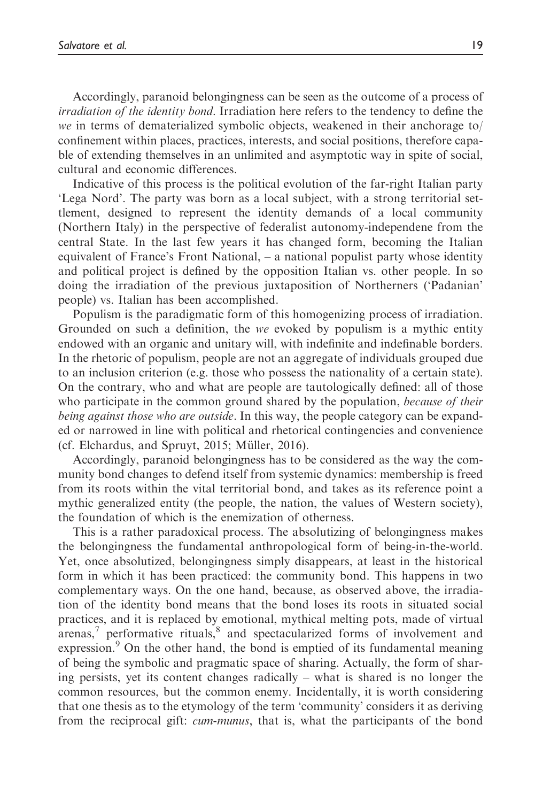Accordingly, paranoid belongingness can be seen as the outcome of a process of irradiation of the identity bond. Irradiation here refers to the tendency to define the we in terms of dematerialized symbolic objects, weakened in their anchorage to/ confinement within places, practices, interests, and social positions, therefore capable of extending themselves in an unlimited and asymptotic way in spite of social, cultural and economic differences.

Indicative of this process is the political evolution of the far-right Italian party 'Lega Nord'. The party was born as a local subject, with a strong territorial settlement, designed to represent the identity demands of a local community (Northern Italy) in the perspective of federalist autonomy-independene from the central State. In the last few years it has changed form, becoming the Italian equivalent of France's Front National, – a national populist party whose identity and political project is defined by the opposition Italian vs. other people. In so doing the irradiation of the previous juxtaposition of Northerners ('Padanian' people) vs. Italian has been accomplished.

Populism is the paradigmatic form of this homogenizing process of irradiation. Grounded on such a definition, the we evoked by populism is a mythic entity endowed with an organic and unitary will, with indefinite and indefinable borders. In the rhetoric of populism, people are not an aggregate of individuals grouped due to an inclusion criterion (e.g. those who possess the nationality of a certain state). On the contrary, who and what are people are tautologically defined: all of those who participate in the common ground shared by the population, *because of their* being against those who are outside. In this way, the people category can be expanded or narrowed in line with political and rhetorical contingencies and convenience  $(cf. Elchardus, and Spruyt, 2015; Müller, 2016).$ 

Accordingly, paranoid belongingness has to be considered as the way the community bond changes to defend itself from systemic dynamics: membership is freed from its roots within the vital territorial bond, and takes as its reference point a mythic generalized entity (the people, the nation, the values of Western society), the foundation of which is the enemization of otherness.

This is a rather paradoxical process. The absolutizing of belongingness makes the belongingness the fundamental anthropological form of being-in-the-world. Yet, once absolutized, belongingness simply disappears, at least in the historical form in which it has been practiced: the community bond. This happens in two complementary ways. On the one hand, because, as observed above, the irradiation of the identity bond means that the bond loses its roots in situated social practices, and it is replaced by emotional, mythical melting pots, made of virtual  $\alpha$  arenas,<sup>7</sup> performative rituals, $\alpha$ <sup>8</sup> and spectacularized forms of involvement and expression.<sup>9</sup> On the other hand, the bond is emptied of its fundamental meaning of being the symbolic and pragmatic space of sharing. Actually, the form of sharing persists, yet its content changes radically – what is shared is no longer the common resources, but the common enemy. Incidentally, it is worth considering that one thesis as to the etymology of the term 'community' considers it as deriving from the reciprocal gift: cum-munus, that is, what the participants of the bond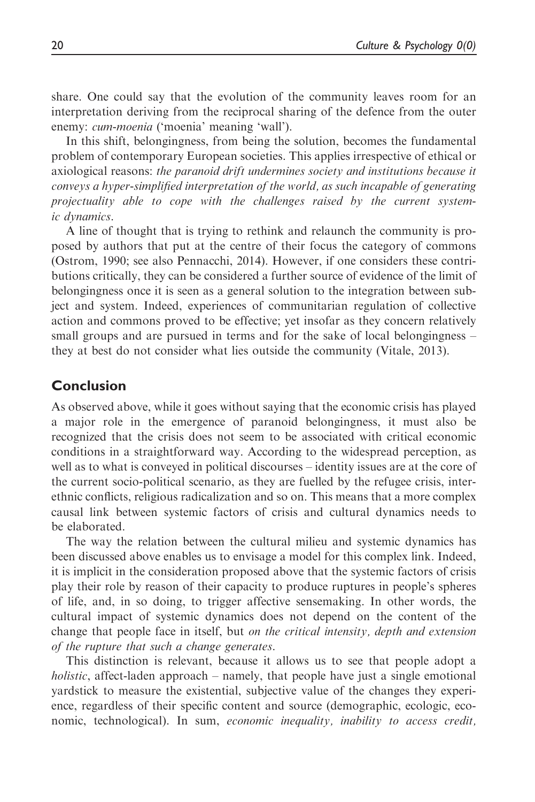share. One could say that the evolution of the community leaves room for an interpretation deriving from the reciprocal sharing of the defence from the outer enemy: *cum-moenia* ('moenia' meaning 'wall').

In this shift, belongingness, from being the solution, becomes the fundamental problem of contemporary European societies. This applies irrespective of ethical or axiological reasons: the paranoid drift undermines society and institutions because it conveys a hyper-simplified interpretation of the world, as such incapable of generating projectuality able to cope with the challenges raised by the current systemic dynamics.

A line of thought that is trying to rethink and relaunch the community is proposed by authors that put at the centre of their focus the category of commons (Ostrom, 1990; see also Pennacchi, 2014). However, if one considers these contributions critically, they can be considered a further source of evidence of the limit of belongingness once it is seen as a general solution to the integration between subject and system. Indeed, experiences of communitarian regulation of collective action and commons proved to be effective; yet insofar as they concern relatively small groups and are pursued in terms and for the sake of local belongingness – they at best do not consider what lies outside the community (Vitale, 2013).

### Conclusion

As observed above, while it goes without saying that the economic crisis has played a major role in the emergence of paranoid belongingness, it must also be recognized that the crisis does not seem to be associated with critical economic conditions in a straightforward way. According to the widespread perception, as well as to what is conveyed in political discourses – identity issues are at the core of the current socio-political scenario, as they are fuelled by the refugee crisis, interethnic conflicts, religious radicalization and so on. This means that a more complex causal link between systemic factors of crisis and cultural dynamics needs to be elaborated.

The way the relation between the cultural milieu and systemic dynamics has been discussed above enables us to envisage a model for this complex link. Indeed, it is implicit in the consideration proposed above that the systemic factors of crisis play their role by reason of their capacity to produce ruptures in people's spheres of life, and, in so doing, to trigger affective sensemaking. In other words, the cultural impact of systemic dynamics does not depend on the content of the change that people face in itself, but on the critical intensity, depth and extension of the rupture that such a change generates.

This distinction is relevant, because it allows us to see that people adopt a holistic, affect-laden approach – namely, that people have just a single emotional yardstick to measure the existential, subjective value of the changes they experience, regardless of their specific content and source (demographic, ecologic, economic, technological). In sum, *economic inequality, inability to access credit*,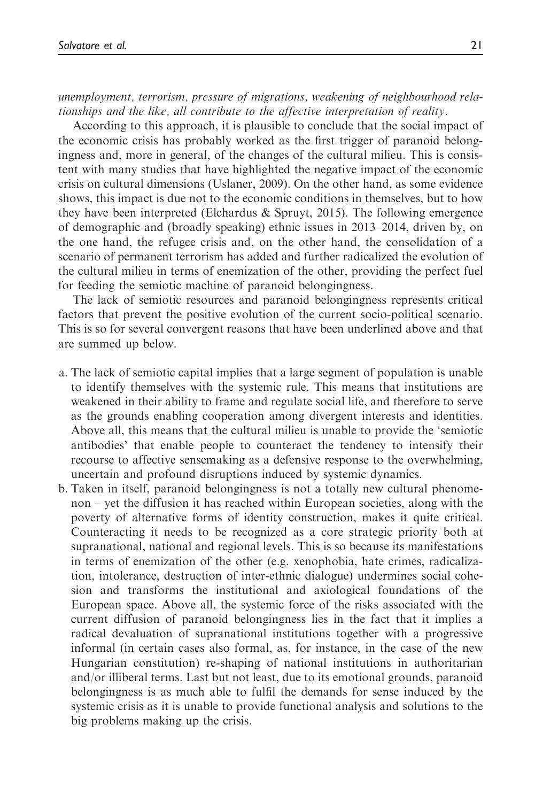unemployment, terrorism, pressure of migrations, weakening of neighbourhood relationships and the like, all contribute to the affective interpretation of reality.

According to this approach, it is plausible to conclude that the social impact of the economic crisis has probably worked as the first trigger of paranoid belongingness and, more in general, of the changes of the cultural milieu. This is consistent with many studies that have highlighted the negative impact of the economic crisis on cultural dimensions (Uslaner, 2009). On the other hand, as some evidence shows, this impact is due not to the economic conditions in themselves, but to how they have been interpreted (Elchardus  $\&$  Spruyt, 2015). The following emergence of demographic and (broadly speaking) ethnic issues in 2013–2014, driven by, on the one hand, the refugee crisis and, on the other hand, the consolidation of a scenario of permanent terrorism has added and further radicalized the evolution of the cultural milieu in terms of enemization of the other, providing the perfect fuel for feeding the semiotic machine of paranoid belongingness.

The lack of semiotic resources and paranoid belongingness represents critical factors that prevent the positive evolution of the current socio-political scenario. This is so for several convergent reasons that have been underlined above and that are summed up below.

- a. The lack of semiotic capital implies that a large segment of population is unable to identify themselves with the systemic rule. This means that institutions are weakened in their ability to frame and regulate social life, and therefore to serve as the grounds enabling cooperation among divergent interests and identities. Above all, this means that the cultural milieu is unable to provide the 'semiotic antibodies' that enable people to counteract the tendency to intensify their recourse to affective sensemaking as a defensive response to the overwhelming, uncertain and profound disruptions induced by systemic dynamics.
- b. Taken in itself, paranoid belongingness is not a totally new cultural phenomenon – yet the diffusion it has reached within European societies, along with the poverty of alternative forms of identity construction, makes it quite critical. Counteracting it needs to be recognized as a core strategic priority both at supranational, national and regional levels. This is so because its manifestations in terms of enemization of the other (e.g. xenophobia, hate crimes, radicalization, intolerance, destruction of inter-ethnic dialogue) undermines social cohesion and transforms the institutional and axiological foundations of the European space. Above all, the systemic force of the risks associated with the current diffusion of paranoid belongingness lies in the fact that it implies a radical devaluation of supranational institutions together with a progressive informal (in certain cases also formal, as, for instance, in the case of the new Hungarian constitution) re-shaping of national institutions in authoritarian and/or illiberal terms. Last but not least, due to its emotional grounds, paranoid belongingness is as much able to fulfil the demands for sense induced by the systemic crisis as it is unable to provide functional analysis and solutions to the big problems making up the crisis.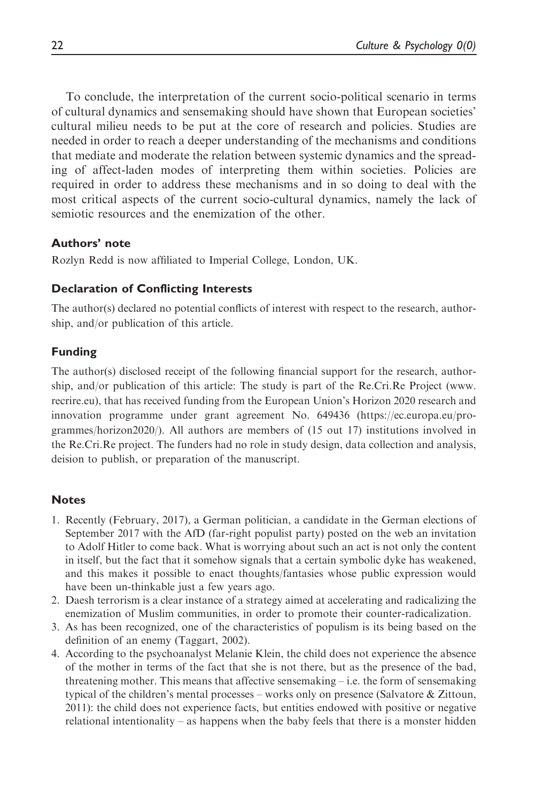To conclude, the interpretation of the current socio-political scenario in terms of cultural dynamics and sensemaking should have shown that European societies' cultural milieu needs to be put at the core of research and policies. Studies are needed in order to reach a deeper understanding of the mechanisms and conditions that mediate and moderate the relation between systemic dynamics and the spreading of affect-laden modes of interpreting them within societies. Policies are required in order to address these mechanisms and in so doing to deal with the most critical aspects of the current socio-cultural dynamics, namely the lack of semiotic resources and the enemization of the other.

### Authors' note

Rozlyn Redd is now affiliated to Imperial College, London, UK.

### Declaration of Conflicting Interests

The author(s) declared no potential conflicts of interest with respect to the research, authorship, and/or publication of this article.

### Funding

The author(s) disclosed receipt of the following financial support for the research, authorship, and/or publication of this article: The study is part of the Re.Cri.Re Project (www. recrire.eu), that has received funding from the European Union's Horizon 2020 research and innovation programme under grant agreement No. 649436 (https://ec.europa.eu/programmes/horizon2020/). All authors are members of (15 out 17) institutions involved in the Re.Cri.Re project. The funders had no role in study design, data collection and analysis, deision to publish, or preparation of the manuscript.

### **Notes**

- 1. Recently (February, 2017), a German politician, a candidate in the German elections of September 2017 with the AfD (far-right populist party) posted on the web an invitation to Adolf Hitler to come back. What is worrying about such an act is not only the content in itself, but the fact that it somehow signals that a certain symbolic dyke has weakened, and this makes it possible to enact thoughts/fantasies whose public expression would have been un-thinkable just a few years ago.
- 2. Daesh terrorism is a clear instance of a strategy aimed at accelerating and radicalizing the enemization of Muslim communities, in order to promote their counter-radicalization.
- 3. As has been recognized, one of the characteristics of populism is its being based on the definition of an enemy (Taggart, 2002).
- 4. According to the psychoanalyst Melanie Klein, the child does not experience the absence of the mother in terms of the fact that she is not there, but as the presence of the bad, threatening mother. This means that affective sensemaking  $-i.e.$  the form of sensemaking typical of the children's mental processes – works only on presence (Salvatore  $\&$  Zittoun, 2011): the child does not experience facts, but entities endowed with positive or negative relational intentionality – as happens when the baby feels that there is a monster hidden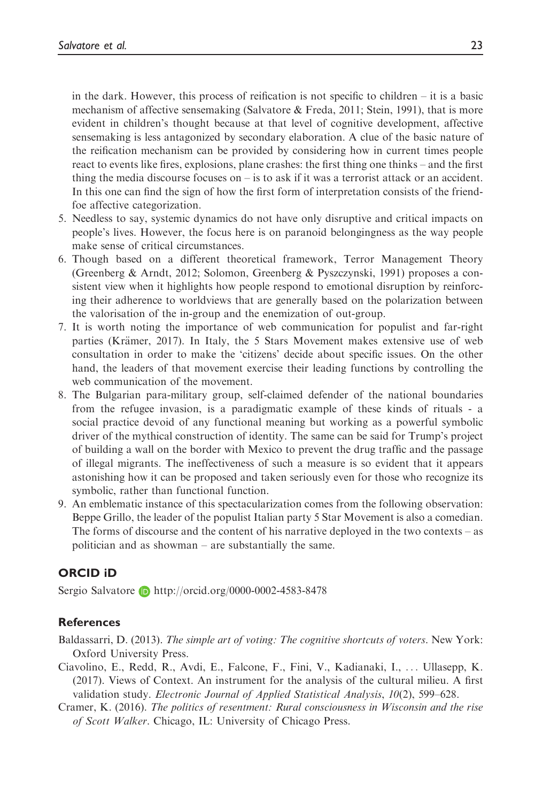in the dark. However, this process of reification is not specific to children  $-$  it is a basic mechanism of affective sensemaking (Salvatore & Freda, 2011; Stein, 1991), that is more evident in children's thought because at that level of cognitive development, affective sensemaking is less antagonized by secondary elaboration. A clue of the basic nature of the reification mechanism can be provided by considering how in current times people react to events like fires, explosions, plane crashes: the first thing one thinks – and the first thing the media discourse focuses on  $-$  is to ask if it was a terrorist attack or an accident. In this one can find the sign of how the first form of interpretation consists of the friendfoe affective categorization.

- 5. Needless to say, systemic dynamics do not have only disruptive and critical impacts on people's lives. However, the focus here is on paranoid belongingness as the way people make sense of critical circumstances.
- 6. Though based on a different theoretical framework, Terror Management Theory (Greenberg & Arndt, 2012; Solomon, Greenberg & Pyszczynski, 1991) proposes a consistent view when it highlights how people respond to emotional disruption by reinforcing their adherence to worldviews that are generally based on the polarization between the valorisation of the in-group and the enemization of out-group.
- 7. It is worth noting the importance of web communication for populist and far-right parties (Krämer, 2017). In Italy, the 5 Stars Movement makes extensive use of web consultation in order to make the 'citizens' decide about specific issues. On the other hand, the leaders of that movement exercise their leading functions by controlling the web communication of the movement.
- 8. The Bulgarian para-military group, self-claimed defender of the national boundaries from the refugee invasion, is a paradigmatic example of these kinds of rituals - a social practice devoid of any functional meaning but working as a powerful symbolic driver of the mythical construction of identity. The same can be said for Trump's project of building a wall on the border with Mexico to prevent the drug traffic and the passage of illegal migrants. The ineffectiveness of such a measure is so evident that it appears astonishing how it can be proposed and taken seriously even for those who recognize its symbolic, rather than functional function.
- 9. An emblematic instance of this spectacularization comes from the following observation: Beppe Grillo, the leader of the populist Italian party 5 Star Movement is also a comedian. The forms of discourse and the content of his narrative deployed in the two contexts – as politician and as showman – are substantially the same.

#### ORCID iD

Sergio Salvatore **b** http://orcid.org/0000-0002-4583-8478

#### **References**

Baldassarri, D. (2013). The simple art of voting: The cognitive shortcuts of voters. New York: Oxford University Press.

- Ciavolino, E., Redd, R., Avdi, E., Falcone, F., Fini, V., Kadianaki, I., ... Ullasepp, K. (2017). Views of Context. An instrument for the analysis of the cultural milieu. A first validation study. Electronic Journal of Applied Statistical Analysis, 10(2), 599–628.
- Cramer, K. (2016). The politics of resentment: Rural consciousness in Wisconsin and the rise of Scott Walker. Chicago, IL: University of Chicago Press.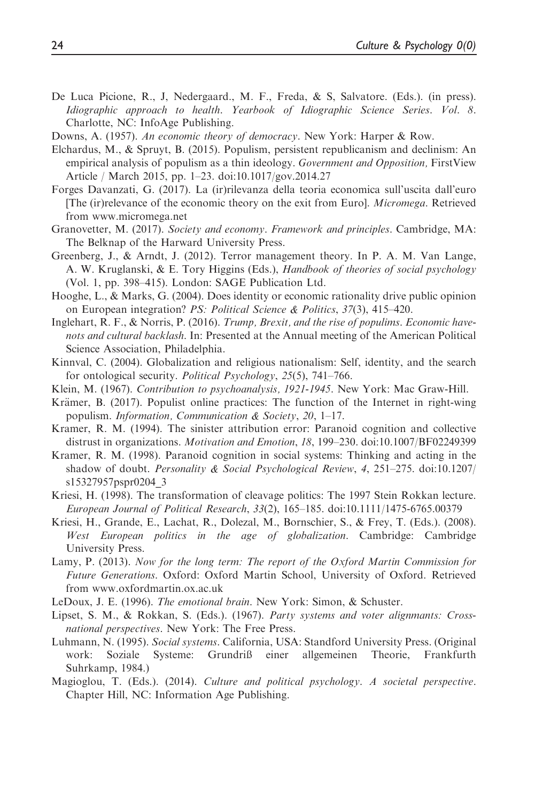- De Luca Picione, R., J, Nedergaard., M. F., Freda, & S, Salvatore. (Eds.). (in press). Idiographic approach to health. Yearbook of Idiographic Science Series. Vol. 8. Charlotte, NC: InfoAge Publishing.
- Downs, A. (1957). An economic theory of democracy. New York: Harper & Row.
- Elchardus, M., & Spruyt, B. (2015). Populism, persistent republicanism and declinism: An empirical analysis of populism as a thin ideology. Government and Opposition, FirstView Article / March 2015, pp. 1–23. doi:10.1017/gov.2014.27
- Forges Davanzati, G. (2017). La (ir)rilevanza della teoria economica sull'uscita dall'euro [The (ir)relevance of the economic theory on the exit from Euro]. Micromega. Retrieved from [www.micromega.net](http://www.micromega.net)
- Granovetter, M. (2017). Society and economy. Framework and principles. Cambridge, MA: The Belknap of the Harward University Press.
- Greenberg, J., & Arndt, J. (2012). Terror management theory. In P. A. M. Van Lange, A. W. Kruglanski, & E. Tory Higgins (Eds.), Handbook of theories of social psychology (Vol. 1, pp. 398–415). London: SAGE Publication Ltd.
- Hooghe, L., & Marks, G. (2004). Does identity or economic rationality drive public opinion on European integration? PS: Political Science & Politics, 37(3), 415–420.
- Inglehart, R. F., & Norris, P. (2016). Trump, Brexit, and the rise of populims. Economic havenots and cultural backlash. In: Presented at the Annual meeting of the American Political Science Association, Philadelphia.
- Kinnval, C. (2004). Globalization and religious nationalism: Self, identity, and the search for ontological security. Political Psychology, 25(5), 741–766.
- Klein, M. (1967). Contribution to psychoanalysis, 1921-1945. New York: Mac Graw-Hill.
- Krämer, B.  $(2017)$ . Populist online practices: The function of the Internet in right-wing populism. Information, Communication & Society, 20, 1–17.
- Kramer, R. M. (1994). The sinister attribution error: Paranoid cognition and collective distrust in organizations. Motivation and Emotion, 18, 199-230. doi:10.1007/BF02249399
- Kramer, R. M. (1998). Paranoid cognition in social systems: Thinking and acting in the shadow of doubt. Personality & Social Psychological Review, 4, 251–275. doi:10.1207/ s15327957pspr0204\_3
- Kriesi, H. (1998). The transformation of cleavage politics: The 1997 Stein Rokkan lecture. European Journal of Political Research, 33(2), 165–185. doi:10.1111/1475-6765.00379
- Kriesi, H., Grande, E., Lachat, R., Dolezal, M., Bornschier, S., & Frey, T. (Eds.). (2008). West European politics in the age of globalization. Cambridge: Cambridge University Press.
- Lamy, P. (2013). Now for the long term: The report of the Oxford Martin Commission for Future Generations. Oxford: Oxford Martin School, University of Oxford. Retrieved from [www.oxfordmartin.ox.ac.uk](http://www.oxfordmartin.ox.ac.uk)
- LeDoux, J. E. (1996). The emotional brain. New York: Simon, & Schuster.
- Lipset, S. M., & Rokkan, S. (Eds.). (1967). Party systems and voter alignmants: Crossnational perspectives. New York: The Free Press.
- Luhmann, N. (1995). Social systems. California, USA: Standford University Press. (Original work: Soziale Systeme: Grundriß einer allgemeinen Theorie, Frankfurth Suhrkamp, 1984.)
- Magioglou, T. (Eds.). (2014). Culture and political psychology. A societal perspective. Chapter Hill, NC: Information Age Publishing.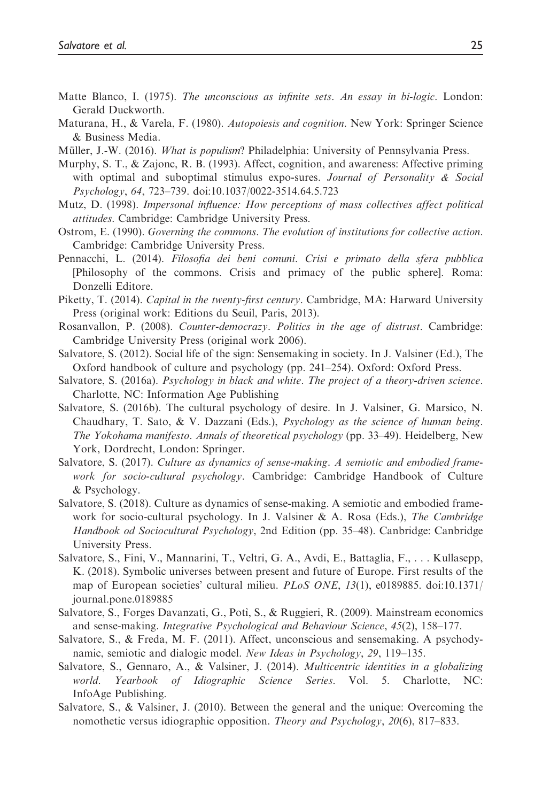- Matte Blanco, I. (1975). The unconscious as infinite sets. An essay in bi-logic. London: Gerald Duckworth.
- Maturana, H., & Varela, F. (1980). Autopoiesis and cognition. New York: Springer Science & Business Media.

Müller, J.-W. (2016). *What is populism*? Philadelphia: University of Pennsylvania Press.

- Murphy, S. T., & Zajonc, R. B. (1993). Affect, cognition, and awareness: Affective priming with optimal and suboptimal stimulus expo-sures. Journal of Personality & Social Psychology, 64, 723–739. doi:10.1037/0022-3514.64.5.723
- Mutz, D. (1998). Impersonal influence: How perceptions of mass collectives affect political attitudes. Cambridge: Cambridge University Press.
- Ostrom, E. (1990). Governing the commons. The evolution of institutions for collective action. Cambridge: Cambridge University Press.
- Pennacchi, L. (2014). Filosofia dei beni comuni. Crisi e primato della sfera pubblica [Philosophy of the commons. Crisis and primacy of the public sphere]. Roma: Donzelli Editore.
- Piketty, T. (2014). Capital in the twenty-first century. Cambridge, MA: Harward University Press (original work: Editions du Seuil, Paris, 2013).
- Rosanvallon, P. (2008). Counter-democrazy. Politics in the age of distrust. Cambridge: Cambridge University Press (original work 2006).
- Salvatore, S. (2012). Social life of the sign: Sensemaking in society. In J. Valsiner (Ed.), The Oxford handbook of culture and psychology (pp. 241–254). Oxford: Oxford Press.
- Salvatore, S. (2016a). Psychology in black and white. The project of a theory-driven science. Charlotte, NC: Information Age Publishing
- Salvatore, S. (2016b). The cultural psychology of desire. In J. Valsiner, G. Marsico, N. Chaudhary, T. Sato,  $&V.$  Dazzani (Eds.), *Psychology as the science of human being*. The Yokohama manifesto. Annals of theoretical psychology (pp. 33–49). Heidelberg, New York, Dordrecht, London: Springer.
- Salvatore, S. (2017). Culture as dynamics of sense-making. A semiotic and embodied framework for socio-cultural psychology. Cambridge: Cambridge Handbook of Culture & Psychology.
- Salvatore, S. (2018). Culture as dynamics of sense-making. A semiotic and embodied framework for socio-cultural psychology. In J. Valsiner & A. Rosa (Eds.), The Cambridge Handbook od Sociocultural Psychology, 2nd Edition (pp. 35–48). Canbridge: Canbridge University Press.
- Salvatore, S., Fini, V., Mannarini, T., Veltri, G. A., Avdi, E., Battaglia, F., . . . Kullasepp, K. (2018). Symbolic universes between present and future of Europe. First results of the map of European societies' cultural milieu. PLoS ONE, 13(1), e0189885. doi:10.1371/ journal.pone.0189885
- Salvatore, S., Forges Davanzati, G., Poti, S., & Ruggieri, R. (2009). Mainstream economics and sense-making. Integrative Psychological and Behaviour Science, 45(2), 158–177.
- Salvatore, S., & Freda, M. F. (2011). Affect, unconscious and sensemaking. A psychodynamic, semiotic and dialogic model. New Ideas in Psychology, 29, 119-135.
- Salvatore, S., Gennaro, A., & Valsiner, J. (2014). *Multicentric identities in a globalizing* world. Yearbook of Idiographic Science Series. Vol. 5. Charlotte, NC: InfoAge Publishing.
- Salvatore, S., & Valsiner, J. (2010). Between the general and the unique: Overcoming the nomothetic versus idiographic opposition. *Theory and Psychology*,  $20(6)$ , 817–833.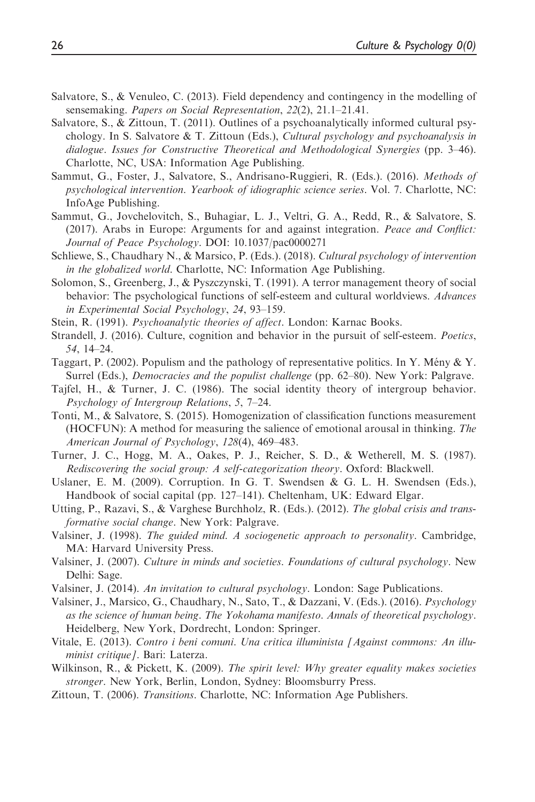- Salvatore, S., & Venuleo, C. (2013). Field dependency and contingency in the modelling of sensemaking. Papers on Social Representation, 22(2), 21.1–21.41.
- Salvatore, S., & Zittoun, T. (2011). Outlines of a psychoanalytically informed cultural psychology. In S. Salvatore & T. Zittoun (Eds.), Cultural psychology and psychoanalysis in dialogue. Issues for Constructive Theoretical and Methodological Synergies (pp. 3–46). Charlotte, NC, USA: Information Age Publishing.
- Sammut, G., Foster, J., Salvatore, S., Andrisano-Ruggieri, R. (Eds.). (2016). Methods of psychological intervention. Yearbook of idiographic science series. Vol. 7. Charlotte, NC: InfoAge Publishing.
- Sammut, G., Jovchelovitch, S., Buhagiar, L. J., Veltri, G. A., Redd, R., & Salvatore, S. (2017). Arabs in Europe: Arguments for and against integration. Peace and Conflict: Journal of Peace Psychology. DOI: 10.1037/pac0000271
- Schliewe, S., Chaudhary N., & Marsico, P. (Eds.). (2018). Cultural psychology of intervention in the globalized world. Charlotte, NC: Information Age Publishing.
- Solomon, S., Greenberg, J., & Pyszczynski, T. (1991). A terror management theory of social behavior: The psychological functions of self-esteem and cultural worldviews. Advances in Experimental Social Psychology, 24, 93–159.

Stein, R. (1991). *Psychoanalytic theories of affect*. London: Karnac Books.

- Strandell, J. (2016). Culture, cognition and behavior in the pursuit of self-esteem. *Poetics*, 54, 14–24.
- Taggart, P. (2002). Populism and the pathology of representative politics. In Y. Mény & Y. Surrel (Eds.), *Democracies and the populist challenge* (pp. 62–80). New York: Palgrave.
- Tajfel, H., & Turner, J. C. (1986). The social identity theory of intergroup behavior. Psychology of Intergroup Relations, 5, 7–24.
- Tonti, M., & Salvatore, S. (2015). Homogenization of classification functions measurement (HOCFUN): A method for measuring the salience of emotional arousal in thinking. The American Journal of Psychology, 128(4), 469–483.
- Turner, J. C., Hogg, M. A., Oakes, P. J., Reicher, S. D., & Wetherell, M. S. (1987). Rediscovering the social group: A self-categorization theory. Oxford: Blackwell.
- Uslaner, E. M. (2009). Corruption. In G. T. Swendsen & G. L. H. Swendsen (Eds.), Handbook of social capital (pp. 127–141). Cheltenham, UK: Edward Elgar.
- Utting, P., Razavi, S., & Varghese Burchholz, R. (Eds.). (2012). The global crisis and transformative social change. New York: Palgrave.
- Valsiner, J. (1998). The guided mind. A sociogenetic approach to personality. Cambridge, MA: Harvard University Press.
- Valsiner, J. (2007). Culture in minds and societies. Foundations of cultural psychology. New Delhi: Sage.
- Valsiner, J. (2014). An invitation to cultural psychology. London: Sage Publications.
- Valsiner, J., Marsico, G., Chaudhary, N., Sato, T., & Dazzani, V. (Eds.). (2016). Psychology as the science of human being. The Yokohama manifesto. Annals of theoretical psychology. Heidelberg, New York, Dordrecht, London: Springer.
- Vitale, E. (2013). Contro i beni comuni. Una critica illuminista [Against commons: An illuminist critique]. Bari: Laterza.
- Wilkinson, R., & Pickett, K. (2009). The spirit level: Why greater equality makes societies stronger. New York, Berlin, London, Sydney: Bloomsburry Press.
- Zittoun, T. (2006). Transitions. Charlotte, NC: Information Age Publishers.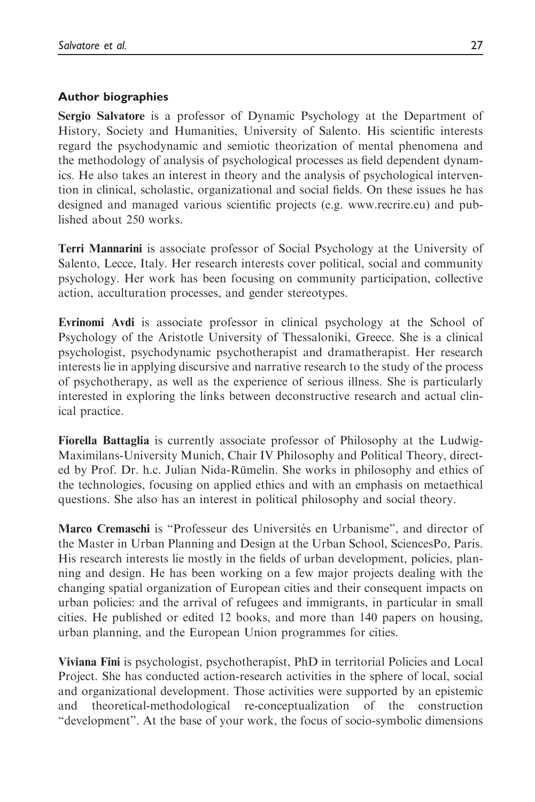### Author biographies

Sergio Salvatore is a professor of Dynamic Psychology at the Department of History, Society and Humanities, University of Salento. His scientific interests regard the psychodynamic and semiotic theorization of mental phenomena and the methodology of analysis of psychological processes as field dependent dynamics. He also takes an interest in theory and the analysis of psychological intervention in clinical, scholastic, organizational and social fields. On these issues he has designed and managed various scientific projects (e.g. www.recrire.eu) and published about 250 works.

Terri Mannarini is associate professor of Social Psychology at the University of Salento, Lecce, Italy. Her research interests cover political, social and community psychology. Her work has been focusing on community participation, collective action, acculturation processes, and gender stereotypes.

Evrinomi Avdi is associate professor in clinical psychology at the School of Psychology of the Aristotle University of Thessaloniki, Greece. She is a clinical psychologist, psychodynamic psychotherapist and dramatherapist. Her research interests lie in applying discursive and narrative research to the study of the process of psychotherapy, as well as the experience of serious illness. She is particularly interested in exploring the links between deconstructive research and actual clinical practice.

Fiorella Battaglia is currently associate professor of Philosophy at the Ludwig-Maximilans-University Munich, Chair IV Philosophy and Political Theory, directed by Prof. Dr. h.c. Julian Nida-Rümelin. She works in philosophy and ethics of the technologies, focusing on applied ethics and with an emphasis on metaethical questions. She also has an interest in political philosophy and social theory.

Marco Cremaschi is "Professeur des Universités en Urbanisme", and director of the Master in Urban Planning and Design at the Urban School, SciencesPo, Paris. His research interests lie mostly in the fields of urban development, policies, planning and design. He has been working on a few major projects dealing with the changing spatial organization of European cities and their consequent impacts on urban policies: and the arrival of refugees and immigrants, in particular in small cities. He published or edited 12 books, and more than 140 papers on housing, urban planning, and the European Union programmes for cities.

Viviana Fini is psychologist, psychotherapist, PhD in territorial Policies and Local Project. She has conducted action-research activities in the sphere of local, social and organizational development. Those activities were supported by an epistemic and theoretical-methodological re-conceptualization of the construction "development". At the base of your work, the focus of socio-symbolic dimensions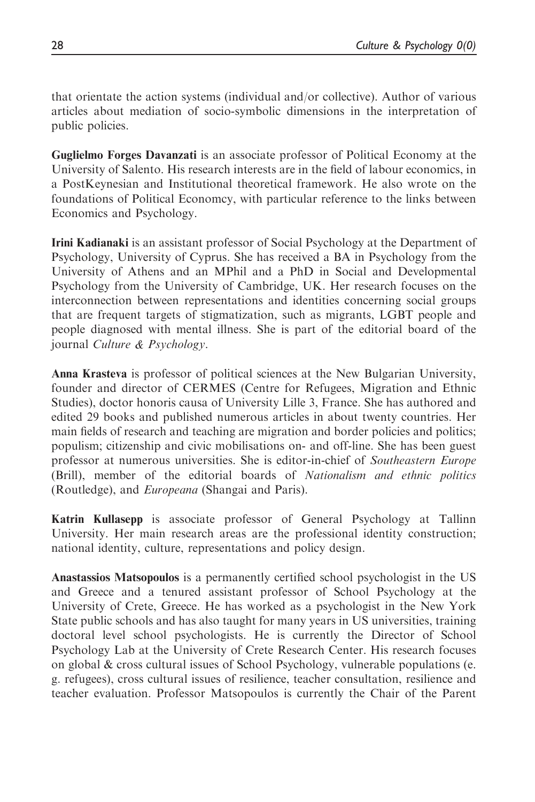that orientate the action systems (individual and/or collective). Author of various articles about mediation of socio-symbolic dimensions in the interpretation of public policies.

Guglielmo Forges Davanzati is an associate professor of Political Economy at the University of Salento. His research interests are in the field of labour economics, in a PostKeynesian and Institutional theoretical framework. He also wrote on the foundations of Political Economcy, with particular reference to the links between Economics and Psychology.

Irini Kadianaki is an assistant professor of Social Psychology at the Department of Psychology, University of Cyprus. She has received a BA in Psychology from the University of Athens and an MPhil and a PhD in Social and Developmental Psychology from the University of Cambridge, UK. Her research focuses on the interconnection between representations and identities concerning social groups that are frequent targets of stigmatization, such as migrants, LGBT people and people diagnosed with mental illness. She is part of the editorial board of the journal Culture & Psychology.

Anna Krasteva is professor of political sciences at the New Bulgarian University, founder and director of CERMES (Centre for Refugees, Migration and Ethnic Studies), doctor honoris causa of University Lille 3, France. She has authored and edited 29 books and published numerous articles in about twenty countries. Her main fields of research and teaching are migration and border policies and politics; populism; citizenship and civic mobilisations on- and off-line. She has been guest professor at numerous universities. She is editor-in-chief of Southeastern Europe (Brill), member of the editorial boards of Nationalism and ethnic politics (Routledge), and Europeana (Shangai and Paris).

Katrin Kullasepp is associate professor of General Psychology at Tallinn University. Her main research areas are the professional identity construction; national identity, culture, representations and policy design.

Anastassios Matsopoulos is a permanently certified school psychologist in the US and Greece and a tenured assistant professor of School Psychology at the University of Crete, Greece. He has worked as a psychologist in the New York State public schools and has also taught for many years in US universities, training doctoral level school psychologists. He is currently the Director of School Psychology Lab at the University of Crete Research Center. His research focuses on global & cross cultural issues of School Psychology, vulnerable populations (e. g. refugees), cross cultural issues of resilience, teacher consultation, resilience and teacher evaluation. Professor Matsopoulos is currently the Chair of the Parent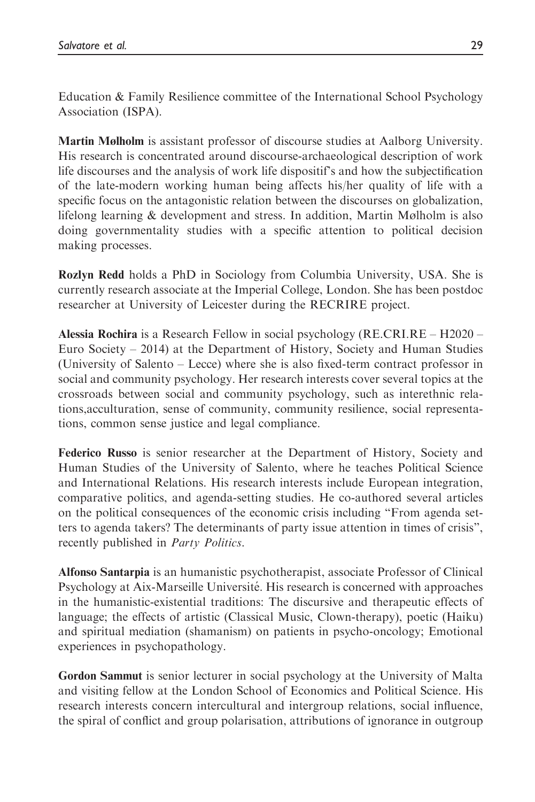Education & Family Resilience committee of the International School Psychology Association (ISPA).

Martin Mølholm is assistant professor of discourse studies at Aalborg University. His research is concentrated around discourse-archaeological description of work life discourses and the analysis of work life dispositif's and how the subjectification of the late-modern working human being affects his/her quality of life with a specific focus on the antagonistic relation between the discourses on globalization, lifelong learning & development and stress. In addition, Martin Mølholm is also doing governmentality studies with a specific attention to political decision making processes.

Rozlyn Redd holds a PhD in Sociology from Columbia University, USA. She is currently research associate at the Imperial College, London. She has been postdoc researcher at University of Leicester during the RECRIRE project.

Alessia Rochira is a Research Fellow in social psychology (RE.CRI.RE – H2020 – Euro Society – 2014) at the Department of History, Society and Human Studies (University of Salento – Lecce) where she is also fixed-term contract professor in social and community psychology. Her research interests cover several topics at the crossroads between social and community psychology, such as interethnic relations,acculturation, sense of community, community resilience, social representations, common sense justice and legal compliance.

Federico Russo is senior researcher at the Department of History, Society and Human Studies of the University of Salento, where he teaches Political Science and International Relations. His research interests include European integration, comparative politics, and agenda-setting studies. He co-authored several articles on the political consequences of the economic crisis including "From agenda setters to agenda takers? The determinants of party issue attention in times of crisis", recently published in *Party Politics*.

Alfonso Santarpia is an humanistic psychotherapist, associate Professor of Clinical Psychology at Aix-Marseille Université. His research is concerned with approaches in the humanistic-existential traditions: The discursive and therapeutic effects of language; the effects of artistic (Classical Music, Clown-therapy), poetic (Haiku) and spiritual mediation (shamanism) on patients in psycho-oncology; Emotional experiences in psychopathology.

Gordon Sammut is senior lecturer in social psychology at the University of Malta and visiting fellow at the London School of Economics and Political Science. His research interests concern intercultural and intergroup relations, social influence, the spiral of conflict and group polarisation, attributions of ignorance in outgroup